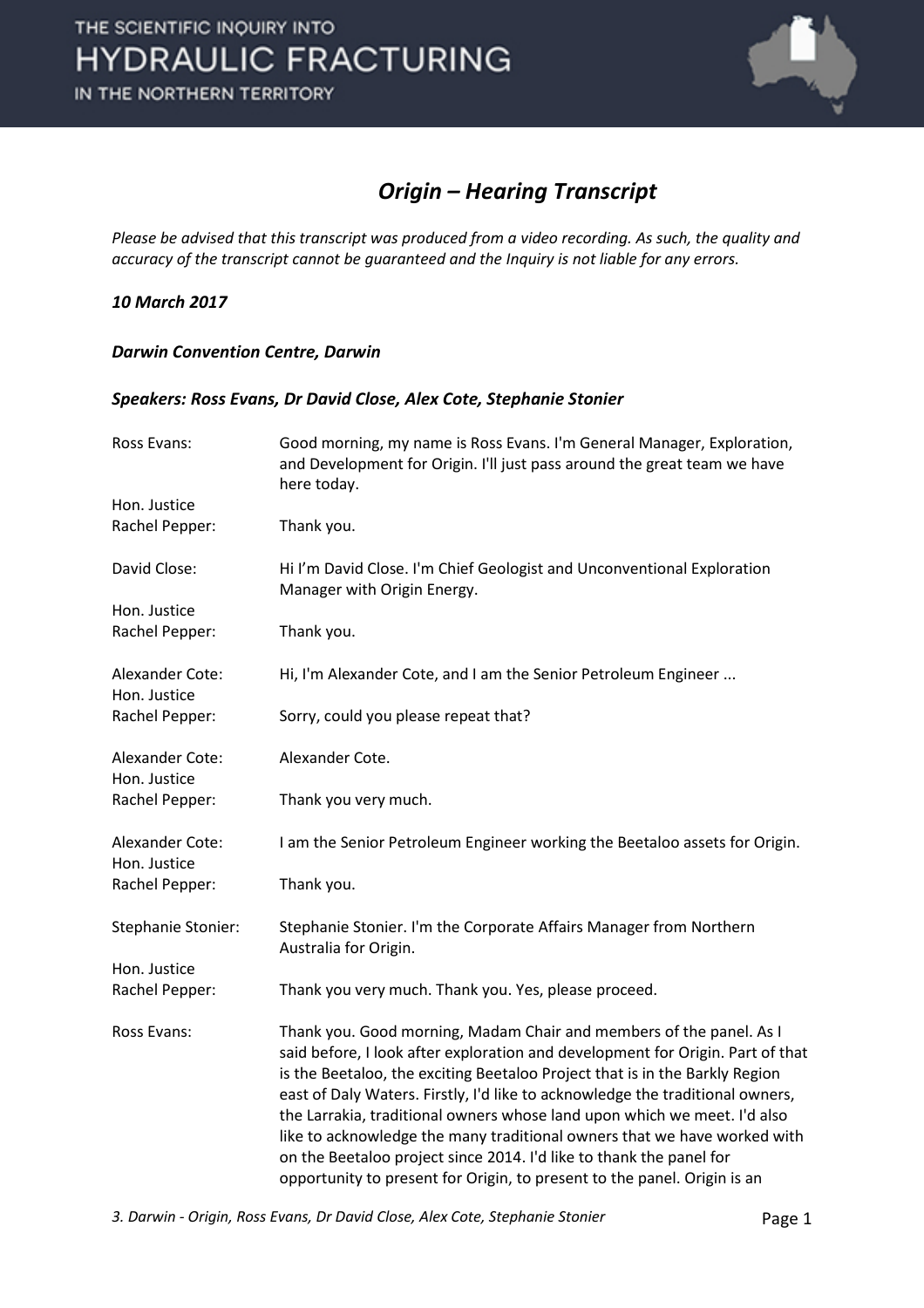

#### *Origin – Hearing Transcript*

*Please be advised that this transcript was produced from a video recording. As such, the quality and accuracy of the transcript cannot be guaranteed and the Inquiry is not liable for any errors.*

#### *10 March 2017*

#### *Darwin Convention Centre, Darwin*

#### *Speakers: Ross Evans, Dr David Close, Alex Cote, Stephanie Stonier*

| Ross Evans:                     | Good morning, my name is Ross Evans. I'm General Manager, Exploration,<br>and Development for Origin. I'll just pass around the great team we have<br>here today.                                                                                                                                                                                                                                                                                                                                                                                                                                                                |
|---------------------------------|----------------------------------------------------------------------------------------------------------------------------------------------------------------------------------------------------------------------------------------------------------------------------------------------------------------------------------------------------------------------------------------------------------------------------------------------------------------------------------------------------------------------------------------------------------------------------------------------------------------------------------|
| Hon. Justice                    |                                                                                                                                                                                                                                                                                                                                                                                                                                                                                                                                                                                                                                  |
| Rachel Pepper:                  | Thank you.                                                                                                                                                                                                                                                                                                                                                                                                                                                                                                                                                                                                                       |
| David Close:                    | Hi I'm David Close. I'm Chief Geologist and Unconventional Exploration<br>Manager with Origin Energy.                                                                                                                                                                                                                                                                                                                                                                                                                                                                                                                            |
| Hon. Justice                    |                                                                                                                                                                                                                                                                                                                                                                                                                                                                                                                                                                                                                                  |
| Rachel Pepper:                  | Thank you.                                                                                                                                                                                                                                                                                                                                                                                                                                                                                                                                                                                                                       |
| Alexander Cote:<br>Hon. Justice | Hi, I'm Alexander Cote, and I am the Senior Petroleum Engineer                                                                                                                                                                                                                                                                                                                                                                                                                                                                                                                                                                   |
| Rachel Pepper:                  | Sorry, could you please repeat that?                                                                                                                                                                                                                                                                                                                                                                                                                                                                                                                                                                                             |
| Alexander Cote:<br>Hon. Justice | Alexander Cote.                                                                                                                                                                                                                                                                                                                                                                                                                                                                                                                                                                                                                  |
| Rachel Pepper:                  | Thank you very much.                                                                                                                                                                                                                                                                                                                                                                                                                                                                                                                                                                                                             |
| Alexander Cote:<br>Hon. Justice | I am the Senior Petroleum Engineer working the Beetaloo assets for Origin.                                                                                                                                                                                                                                                                                                                                                                                                                                                                                                                                                       |
| Rachel Pepper:                  | Thank you.                                                                                                                                                                                                                                                                                                                                                                                                                                                                                                                                                                                                                       |
| Stephanie Stonier:              | Stephanie Stonier. I'm the Corporate Affairs Manager from Northern<br>Australia for Origin.                                                                                                                                                                                                                                                                                                                                                                                                                                                                                                                                      |
| Hon. Justice                    |                                                                                                                                                                                                                                                                                                                                                                                                                                                                                                                                                                                                                                  |
| Rachel Pepper:                  | Thank you very much. Thank you. Yes, please proceed.                                                                                                                                                                                                                                                                                                                                                                                                                                                                                                                                                                             |
| Ross Evans:                     | Thank you. Good morning, Madam Chair and members of the panel. As I<br>said before, I look after exploration and development for Origin. Part of that<br>is the Beetaloo, the exciting Beetaloo Project that is in the Barkly Region<br>east of Daly Waters. Firstly, I'd like to acknowledge the traditional owners,<br>the Larrakia, traditional owners whose land upon which we meet. I'd also<br>like to acknowledge the many traditional owners that we have worked with<br>on the Beetaloo project since 2014. I'd like to thank the panel for<br>opportunity to present for Origin, to present to the panel. Origin is an |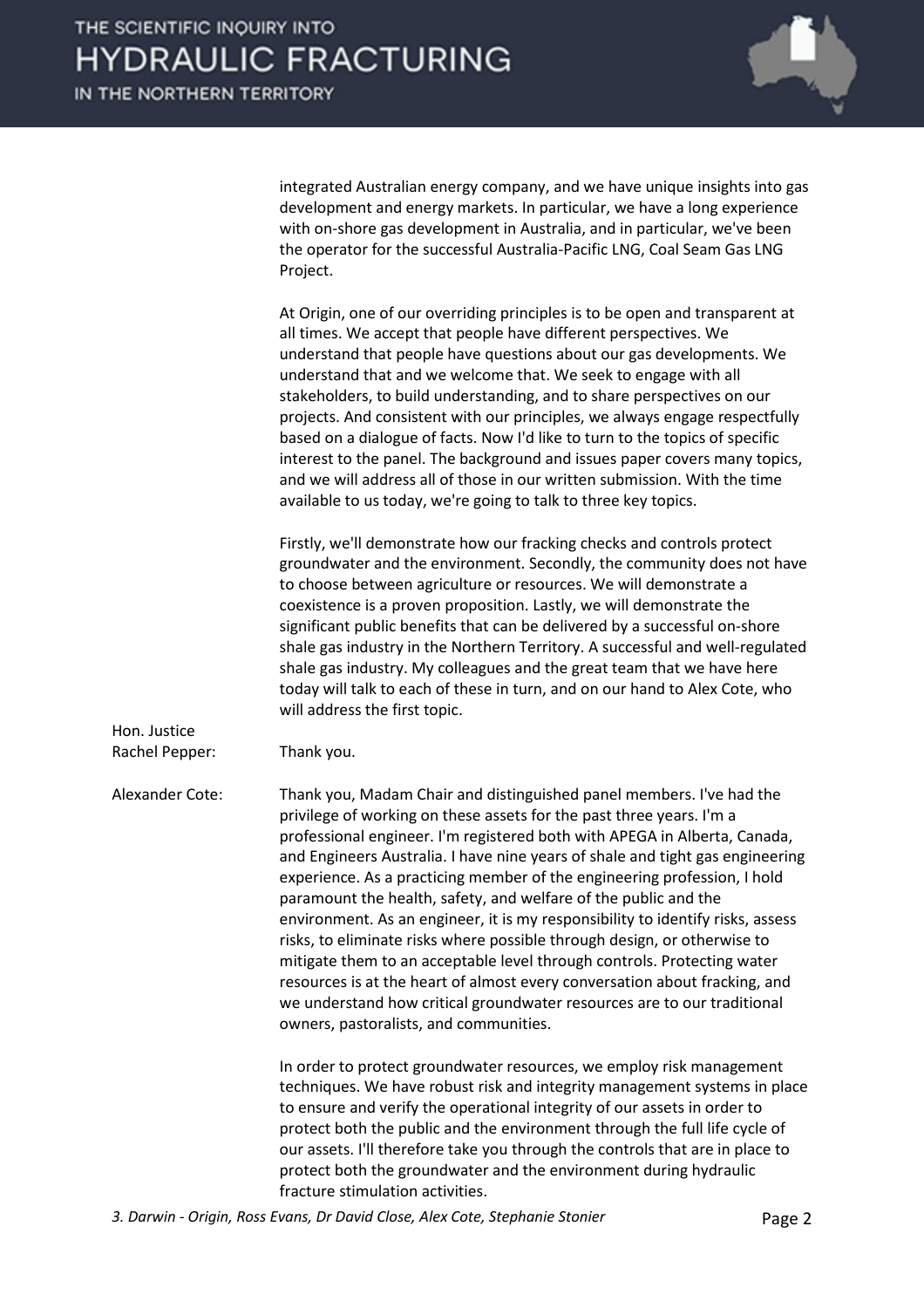

integrated Australian energy company, and we have unique insights into gas development and energy markets. In particular, we have a long experience with on-shore gas development in Australia, and in particular, we've been the operator for the successful Australia-Pacific LNG, Coal Seam Gas LNG Project.

At Origin, one of our overriding principles is to be open and transparent at all times. We accept that people have different perspectives. We understand that people have questions about our gas developments. We understand that and we welcome that. We seek to engage with all stakeholders, to build understanding, and to share perspectives on our projects. And consistent with our principles, we always engage respectfully based on a dialogue of facts. Now I'd like to turn to the topics of specific interest to the panel. The background and issues paper covers many topics, and we will address all of those in our written submission. With the time available to us today, we're going to talk to three key topics.

Firstly, we'll demonstrate how our fracking checks and controls protect groundwater and the environment. Secondly, the community does not have to choose between agriculture or resources. We will demonstrate a coexistence is a proven proposition. Lastly, we will demonstrate the significant public benefits that can be delivered by a successful on-shore shale gas industry in the Northern Territory. A successful and well-regulated shale gas industry. My colleagues and the great team that we have here today will talk to each of these in turn, and on our hand to Alex Cote, who will address the first topic.

Rachel Pepper: Thank you.

Hon. Justice

Alexander Cote: Thank you, Madam Chair and distinguished panel members. I've had the privilege of working on these assets for the past three years. I'm a professional engineer. I'm registered both with APEGA in Alberta, Canada, and Engineers Australia. I have nine years of shale and tight gas engineering experience. As a practicing member of the engineering profession, I hold paramount the health, safety, and welfare of the public and the environment. As an engineer, it is my responsibility to identify risks, assess risks, to eliminate risks where possible through design, or otherwise to mitigate them to an acceptable level through controls. Protecting water resources is at the heart of almost every conversation about fracking, and we understand how critical groundwater resources are to our traditional owners, pastoralists, and communities.

> In order to protect groundwater resources, we employ risk management techniques. We have robust risk and integrity management systems in place to ensure and verify the operational integrity of our assets in order to protect both the public and the environment through the full life cycle of our assets. I'll therefore take you through the controls that are in place to protect both the groundwater and the environment during hydraulic fracture stimulation activities.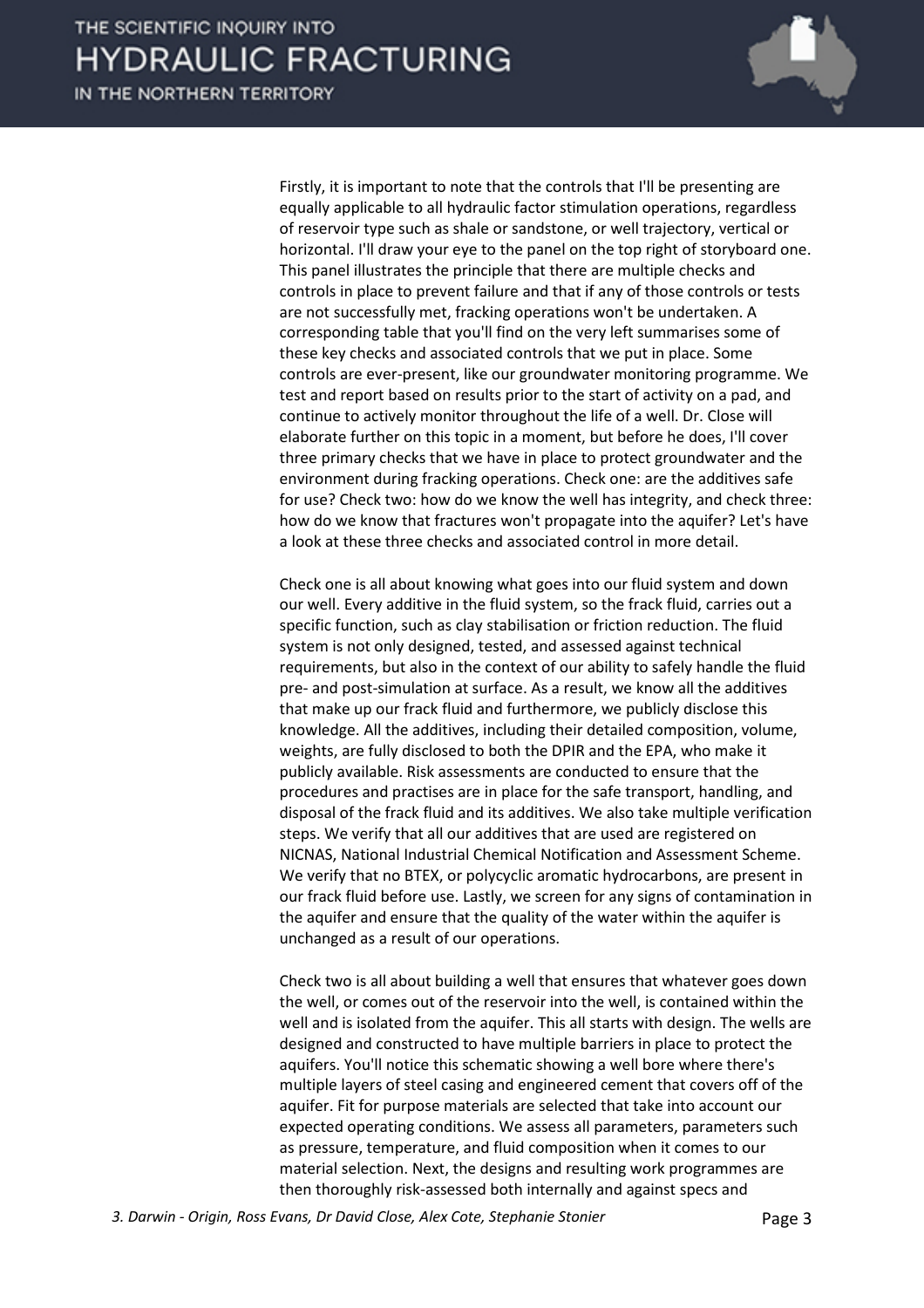

Firstly, it is important to note that the controls that I'll be presenting are equally applicable to all hydraulic factor stimulation operations, regardless of reservoir type such as shale or sandstone, or well trajectory, vertical or horizontal. I'll draw your eye to the panel on the top right of storyboard one. This panel illustrates the principle that there are multiple checks and controls in place to prevent failure and that if any of those controls or tests are not successfully met, fracking operations won't be undertaken. A corresponding table that you'll find on the very left summarises some of these key checks and associated controls that we put in place. Some controls are ever-present, like our groundwater monitoring programme. We test and report based on results prior to the start of activity on a pad, and continue to actively monitor throughout the life of a well. Dr. Close will elaborate further on this topic in a moment, but before he does, I'll cover three primary checks that we have in place to protect groundwater and the environment during fracking operations. Check one: are the additives safe for use? Check two: how do we know the well has integrity, and check three: how do we know that fractures won't propagate into the aquifer? Let's have a look at these three checks and associated control in more detail.

Check one is all about knowing what goes into our fluid system and down our well. Every additive in the fluid system, so the frack fluid, carries out a specific function, such as clay stabilisation or friction reduction. The fluid system is not only designed, tested, and assessed against technical requirements, but also in the context of our ability to safely handle the fluid pre- and post-simulation at surface. As a result, we know all the additives that make up our frack fluid and furthermore, we publicly disclose this knowledge. All the additives, including their detailed composition, volume, weights, are fully disclosed to both the DPIR and the EPA, who make it publicly available. Risk assessments are conducted to ensure that the procedures and practises are in place for the safe transport, handling, and disposal of the frack fluid and its additives. We also take multiple verification steps. We verify that all our additives that are used are registered on NICNAS, National Industrial Chemical Notification and Assessment Scheme. We verify that no BTEX, or polycyclic aromatic hydrocarbons, are present in our frack fluid before use. Lastly, we screen for any signs of contamination in the aquifer and ensure that the quality of the water within the aquifer is unchanged as a result of our operations.

Check two is all about building a well that ensures that whatever goes down the well, or comes out of the reservoir into the well, is contained within the well and is isolated from the aquifer. This all starts with design. The wells are designed and constructed to have multiple barriers in place to protect the aquifers. You'll notice this schematic showing a well bore where there's multiple layers of steel casing and engineered cement that covers off of the aquifer. Fit for purpose materials are selected that take into account our expected operating conditions. We assess all parameters, parameters such as pressure, temperature, and fluid composition when it comes to our material selection. Next, the designs and resulting work programmes are then thoroughly risk-assessed both internally and against specs and

*3. Darwin - Origin, Ross Evans, Dr David Close, Alex Cote, Stephanie Stonier* Page 3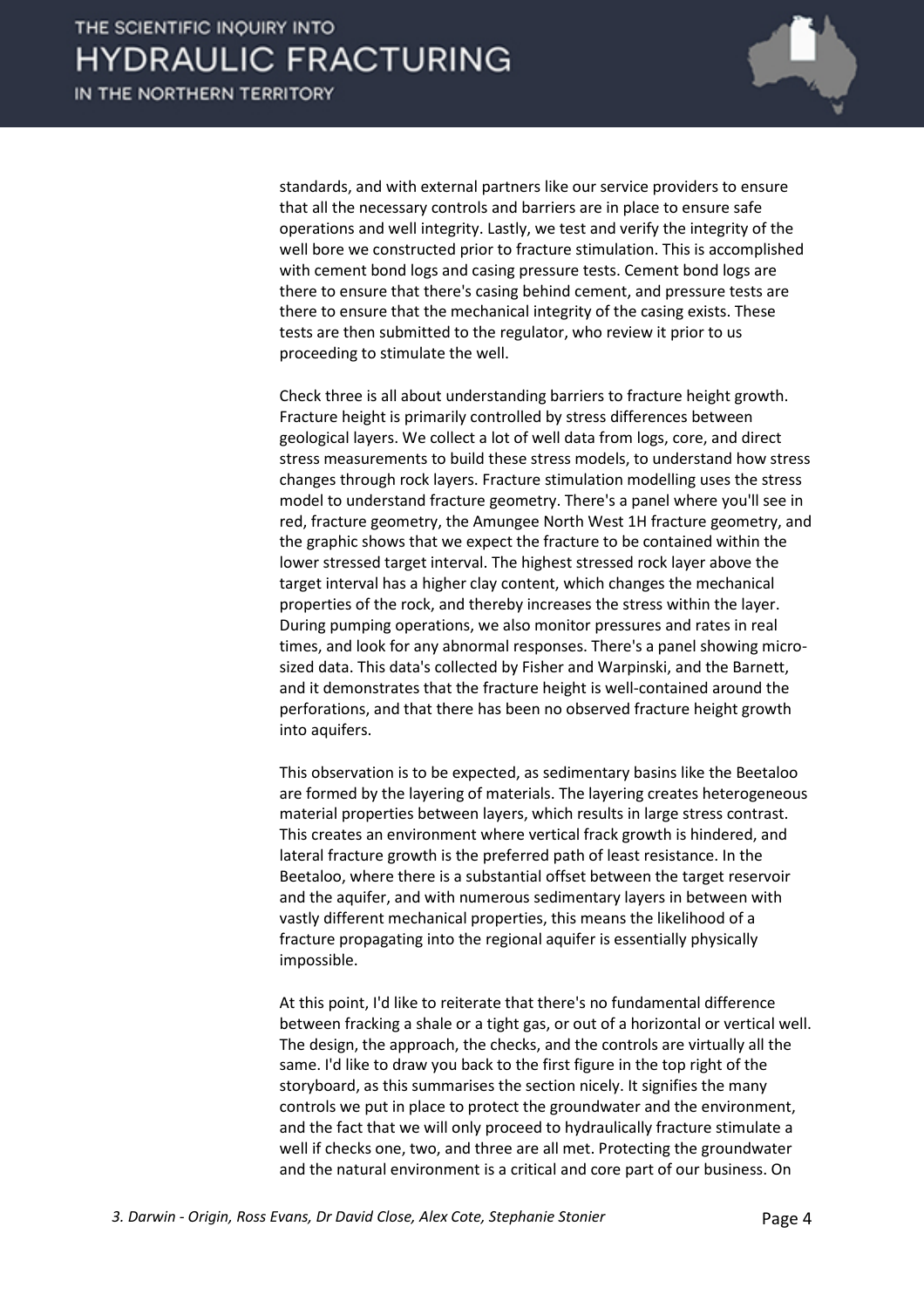

standards, and with external partners like our service providers to ensure that all the necessary controls and barriers are in place to ensure safe operations and well integrity. Lastly, we test and verify the integrity of the well bore we constructed prior to fracture stimulation. This is accomplished with cement bond logs and casing pressure tests. Cement bond logs are there to ensure that there's casing behind cement, and pressure tests are there to ensure that the mechanical integrity of the casing exists. These tests are then submitted to the regulator, who review it prior to us proceeding to stimulate the well.

Check three is all about understanding barriers to fracture height growth. Fracture height is primarily controlled by stress differences between geological layers. We collect a lot of well data from logs, core, and direct stress measurements to build these stress models, to understand how stress changes through rock layers. Fracture stimulation modelling uses the stress model to understand fracture geometry. There's a panel where you'll see in red, fracture geometry, the Amungee North West 1H fracture geometry, and the graphic shows that we expect the fracture to be contained within the lower stressed target interval. The highest stressed rock layer above the target interval has a higher clay content, which changes the mechanical properties of the rock, and thereby increases the stress within the layer. During pumping operations, we also monitor pressures and rates in real times, and look for any abnormal responses. There's a panel showing microsized data. This data's collected by Fisher and Warpinski, and the Barnett, and it demonstrates that the fracture height is well-contained around the perforations, and that there has been no observed fracture height growth into aquifers.

This observation is to be expected, as sedimentary basins like the Beetaloo are formed by the layering of materials. The layering creates heterogeneous material properties between layers, which results in large stress contrast. This creates an environment where vertical frack growth is hindered, and lateral fracture growth is the preferred path of least resistance. In the Beetaloo, where there is a substantial offset between the target reservoir and the aquifer, and with numerous sedimentary layers in between with vastly different mechanical properties, this means the likelihood of a fracture propagating into the regional aquifer is essentially physically impossible.

At this point, I'd like to reiterate that there's no fundamental difference between fracking a shale or a tight gas, or out of a horizontal or vertical well. The design, the approach, the checks, and the controls are virtually all the same. I'd like to draw you back to the first figure in the top right of the storyboard, as this summarises the section nicely. It signifies the many controls we put in place to protect the groundwater and the environment, and the fact that we will only proceed to hydraulically fracture stimulate a well if checks one, two, and three are all met. Protecting the groundwater and the natural environment is a critical and core part of our business. On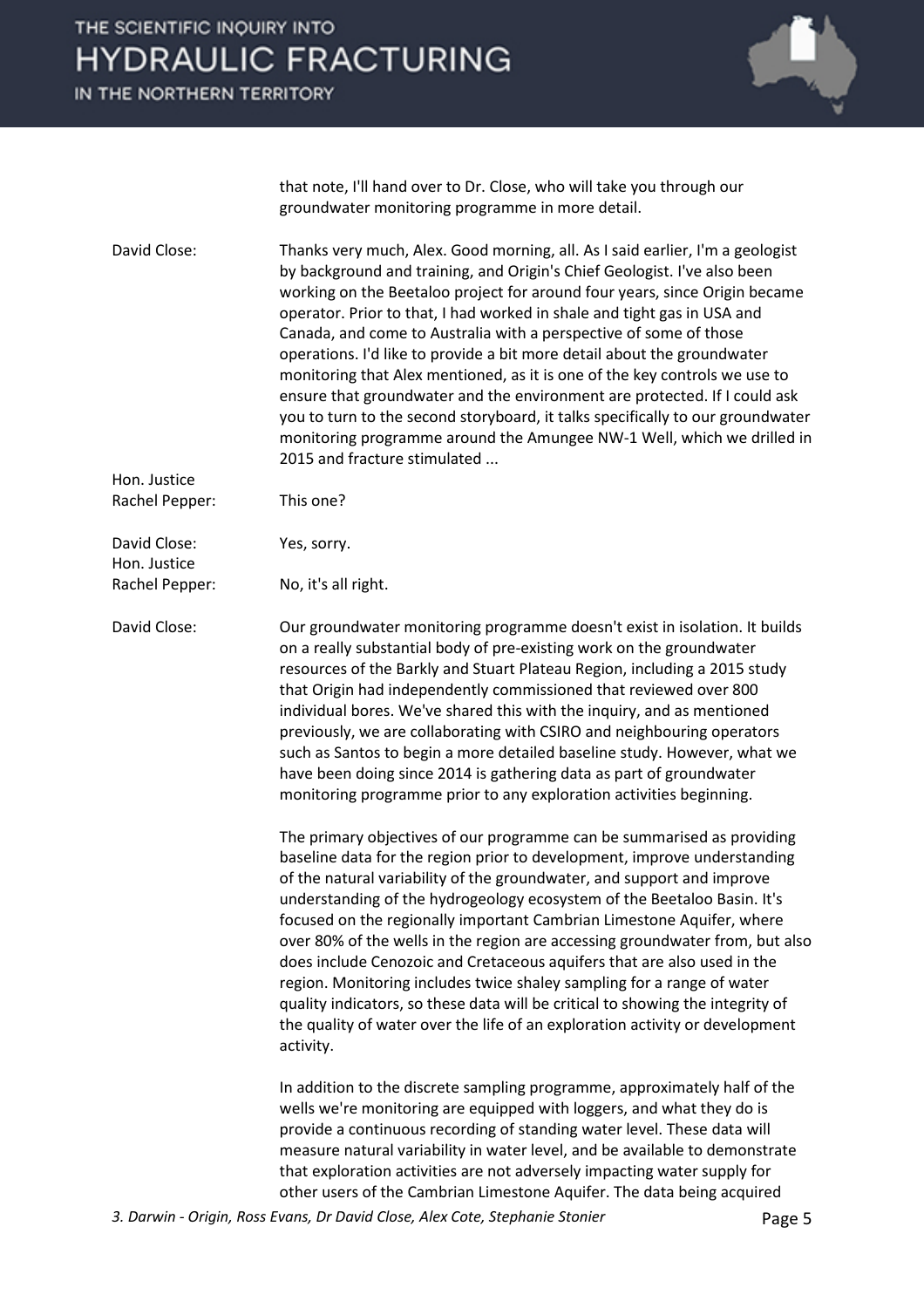IN THE NORTHERN TERRITORY



that note, I'll hand over to Dr. Close, who will take you through our groundwater monitoring programme in more detail.

David Close: Thanks very much, Alex. Good morning, all. As I said earlier, I'm a geologist by background and training, and Origin's Chief Geologist. I've also been working on the Beetaloo project for around four years, since Origin became operator. Prior to that, I had worked in shale and tight gas in USA and Canada, and come to Australia with a perspective of some of those operations. I'd like to provide a bit more detail about the groundwater monitoring that Alex mentioned, as it is one of the key controls we use to ensure that groundwater and the environment are protected. If I could ask you to turn to the second storyboard, it talks specifically to our groundwater monitoring programme around the Amungee NW-1 Well, which we drilled in 2015 and fracture stimulated ...

Rachel Pepper: This one?

Hon. Justice

Hon. Justice

David Close: Yes, sorry.

Rachel Pepper: No, it's all right.

David Close: Our groundwater monitoring programme doesn't exist in isolation. It builds on a really substantial body of pre-existing work on the groundwater resources of the Barkly and Stuart Plateau Region, including a 2015 study that Origin had independently commissioned that reviewed over 800 individual bores. We've shared this with the inquiry, and as mentioned previously, we are collaborating with CSIRO and neighbouring operators such as Santos to begin a more detailed baseline study. However, what we have been doing since 2014 is gathering data as part of groundwater monitoring programme prior to any exploration activities beginning.

> The primary objectives of our programme can be summarised as providing baseline data for the region prior to development, improve understanding of the natural variability of the groundwater, and support and improve understanding of the hydrogeology ecosystem of the Beetaloo Basin. It's focused on the regionally important Cambrian Limestone Aquifer, where over 80% of the wells in the region are accessing groundwater from, but also does include Cenozoic and Cretaceous aquifers that are also used in the region. Monitoring includes twice shaley sampling for a range of water quality indicators, so these data will be critical to showing the integrity of the quality of water over the life of an exploration activity or development activity.

In addition to the discrete sampling programme, approximately half of the wells we're monitoring are equipped with loggers, and what they do is provide a continuous recording of standing water level. These data will measure natural variability in water level, and be available to demonstrate that exploration activities are not adversely impacting water supply for other users of the Cambrian Limestone Aquifer. The data being acquired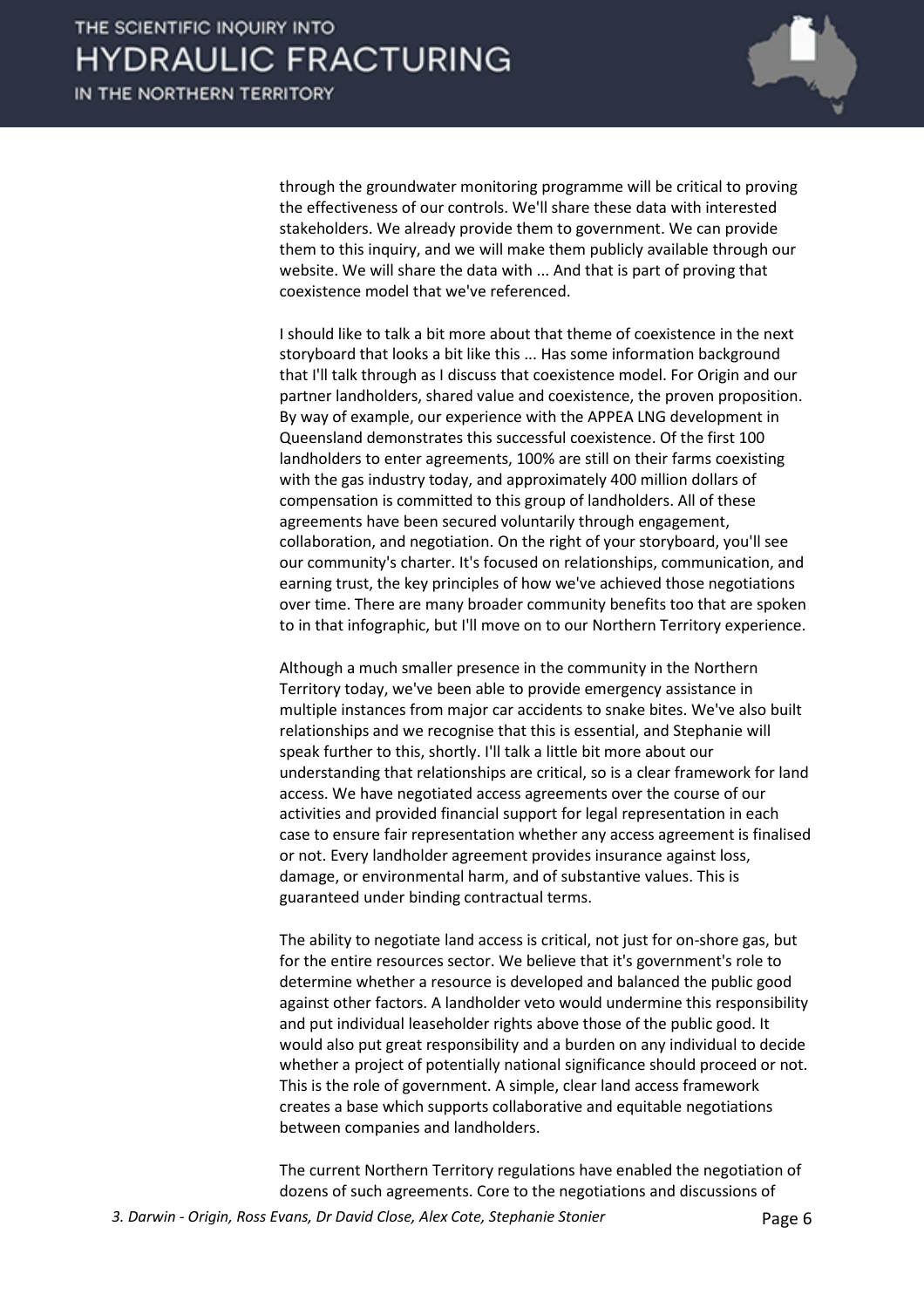

through the groundwater monitoring programme will be critical to proving the effectiveness of our controls. We'll share these data with interested stakeholders. We already provide them to government. We can provide them to this inquiry, and we will make them publicly available through our website. We will share the data with ... And that is part of proving that coexistence model that we've referenced.

I should like to talk a bit more about that theme of coexistence in the next storyboard that looks a bit like this ... Has some information background that I'll talk through as I discuss that coexistence model. For Origin and our partner landholders, shared value and coexistence, the proven proposition. By way of example, our experience with the APPEA LNG development in Queensland demonstrates this successful coexistence. Of the first 100 landholders to enter agreements, 100% are still on their farms coexisting with the gas industry today, and approximately 400 million dollars of compensation is committed to this group of landholders. All of these agreements have been secured voluntarily through engagement, collaboration, and negotiation. On the right of your storyboard, you'll see our community's charter. It's focused on relationships, communication, and earning trust, the key principles of how we've achieved those negotiations over time. There are many broader community benefits too that are spoken to in that infographic, but I'll move on to our Northern Territory experience.

Although a much smaller presence in the community in the Northern Territory today, we've been able to provide emergency assistance in multiple instances from major car accidents to snake bites. We've also built relationships and we recognise that this is essential, and Stephanie will speak further to this, shortly. I'll talk a little bit more about our understanding that relationships are critical, so is a clear framework for land access. We have negotiated access agreements over the course of our activities and provided financial support for legal representation in each case to ensure fair representation whether any access agreement is finalised or not. Every landholder agreement provides insurance against loss, damage, or environmental harm, and of substantive values. This is guaranteed under binding contractual terms.

The ability to negotiate land access is critical, not just for on-shore gas, but for the entire resources sector. We believe that it's government's role to determine whether a resource is developed and balanced the public good against other factors. A landholder veto would undermine this responsibility and put individual leaseholder rights above those of the public good. It would also put great responsibility and a burden on any individual to decide whether a project of potentially national significance should proceed or not. This is the role of government. A simple, clear land access framework creates a base which supports collaborative and equitable negotiations between companies and landholders.

The current Northern Territory regulations have enabled the negotiation of dozens of such agreements. Core to the negotiations and discussions of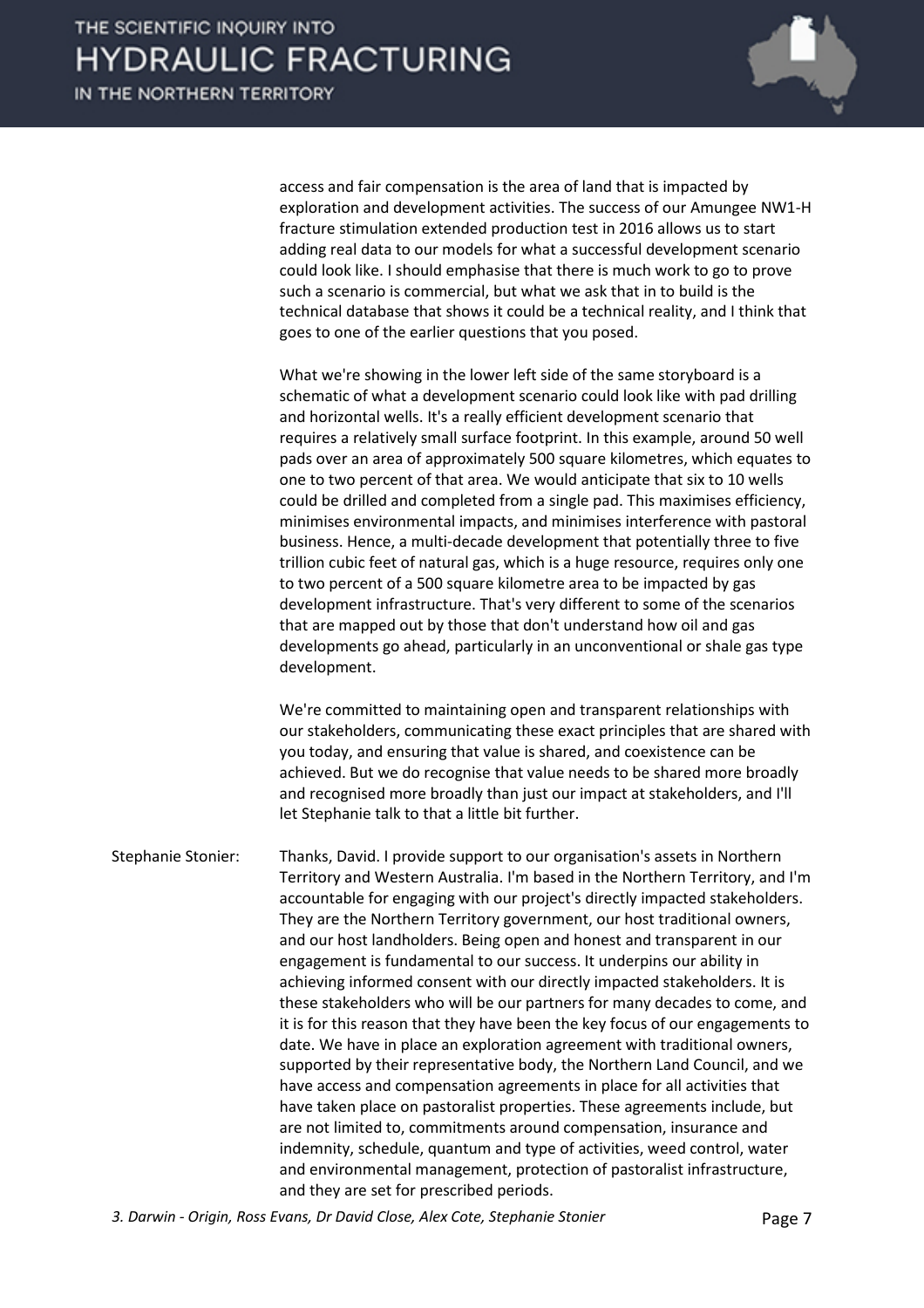

access and fair compensation is the area of land that is impacted by exploration and development activities. The success of our Amungee NW1-H fracture stimulation extended production test in 2016 allows us to start adding real data to our models for what a successful development scenario could look like. I should emphasise that there is much work to go to prove such a scenario is commercial, but what we ask that in to build is the technical database that shows it could be a technical reality, and I think that goes to one of the earlier questions that you posed.

What we're showing in the lower left side of the same storyboard is a schematic of what a development scenario could look like with pad drilling and horizontal wells. It's a really efficient development scenario that requires a relatively small surface footprint. In this example, around 50 well pads over an area of approximately 500 square kilometres, which equates to one to two percent of that area. We would anticipate that six to 10 wells could be drilled and completed from a single pad. This maximises efficiency, minimises environmental impacts, and minimises interference with pastoral business. Hence, a multi-decade development that potentially three to five trillion cubic feet of natural gas, which is a huge resource, requires only one to two percent of a 500 square kilometre area to be impacted by gas development infrastructure. That's very different to some of the scenarios that are mapped out by those that don't understand how oil and gas developments go ahead, particularly in an unconventional or shale gas type development.

We're committed to maintaining open and transparent relationships with our stakeholders, communicating these exact principles that are shared with you today, and ensuring that value is shared, and coexistence can be achieved. But we do recognise that value needs to be shared more broadly and recognised more broadly than just our impact at stakeholders, and I'll let Stephanie talk to that a little bit further.

Stephanie Stonier: Thanks, David. I provide support to our organisation's assets in Northern Territory and Western Australia. I'm based in the Northern Territory, and I'm accountable for engaging with our project's directly impacted stakeholders. They are the Northern Territory government, our host traditional owners, and our host landholders. Being open and honest and transparent in our engagement is fundamental to our success. It underpins our ability in achieving informed consent with our directly impacted stakeholders. It is these stakeholders who will be our partners for many decades to come, and it is for this reason that they have been the key focus of our engagements to date. We have in place an exploration agreement with traditional owners, supported by their representative body, the Northern Land Council, and we have access and compensation agreements in place for all activities that have taken place on pastoralist properties. These agreements include, but are not limited to, commitments around compensation, insurance and indemnity, schedule, quantum and type of activities, weed control, water and environmental management, protection of pastoralist infrastructure, and they are set for prescribed periods.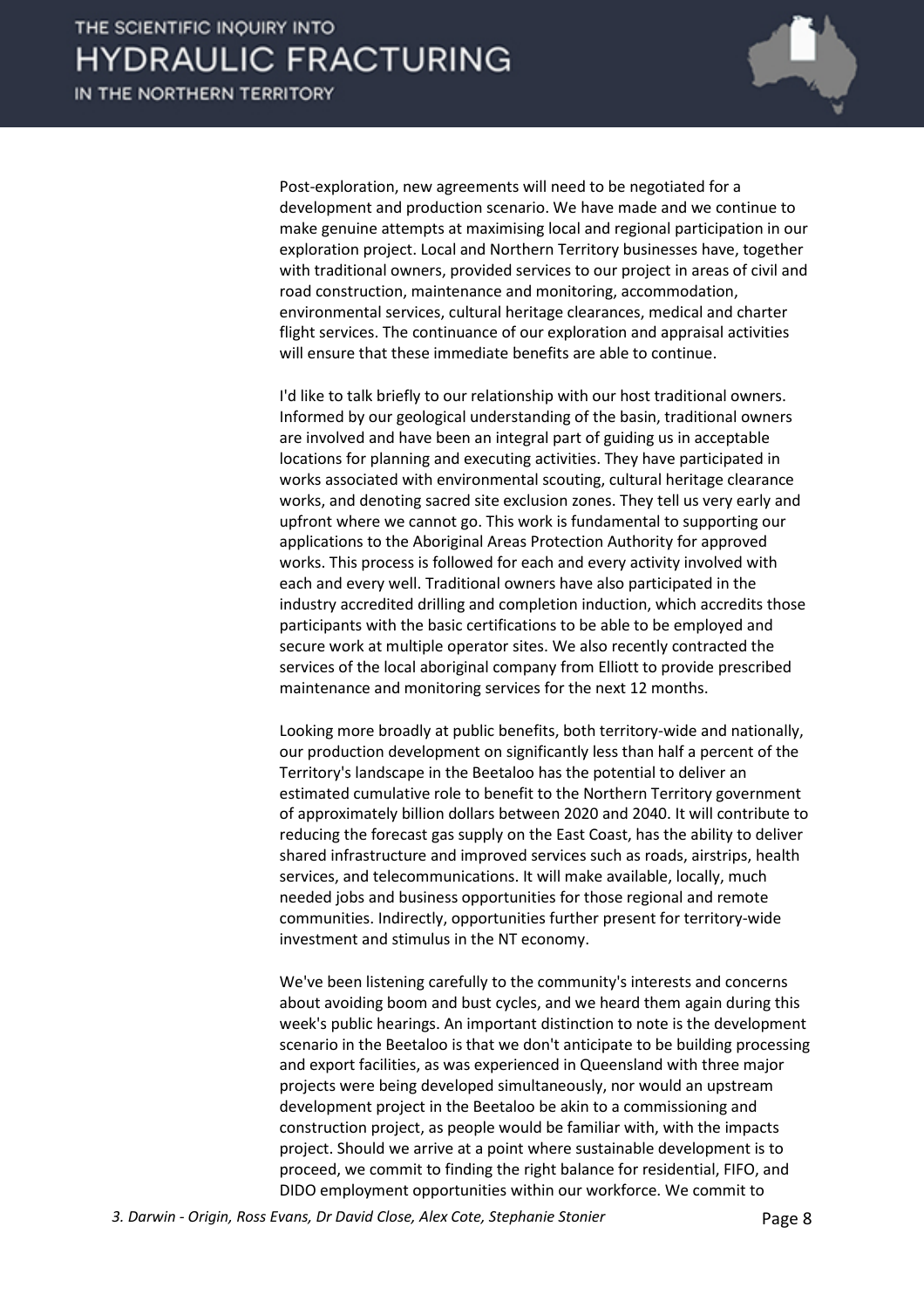

Post-exploration, new agreements will need to be negotiated for a development and production scenario. We have made and we continue to make genuine attempts at maximising local and regional participation in our exploration project. Local and Northern Territory businesses have, together with traditional owners, provided services to our project in areas of civil and road construction, maintenance and monitoring, accommodation, environmental services, cultural heritage clearances, medical and charter flight services. The continuance of our exploration and appraisal activities will ensure that these immediate benefits are able to continue.

I'd like to talk briefly to our relationship with our host traditional owners. Informed by our geological understanding of the basin, traditional owners are involved and have been an integral part of guiding us in acceptable locations for planning and executing activities. They have participated in works associated with environmental scouting, cultural heritage clearance works, and denoting sacred site exclusion zones. They tell us very early and upfront where we cannot go. This work is fundamental to supporting our applications to the Aboriginal Areas Protection Authority for approved works. This process is followed for each and every activity involved with each and every well. Traditional owners have also participated in the industry accredited drilling and completion induction, which accredits those participants with the basic certifications to be able to be employed and secure work at multiple operator sites. We also recently contracted the services of the local aboriginal company from Elliott to provide prescribed maintenance and monitoring services for the next 12 months.

Looking more broadly at public benefits, both territory-wide and nationally, our production development on significantly less than half a percent of the Territory's landscape in the Beetaloo has the potential to deliver an estimated cumulative role to benefit to the Northern Territory government of approximately billion dollars between 2020 and 2040. It will contribute to reducing the forecast gas supply on the East Coast, has the ability to deliver shared infrastructure and improved services such as roads, airstrips, health services, and telecommunications. It will make available, locally, much needed jobs and business opportunities for those regional and remote communities. Indirectly, opportunities further present for territory-wide investment and stimulus in the NT economy.

We've been listening carefully to the community's interests and concerns about avoiding boom and bust cycles, and we heard them again during this week's public hearings. An important distinction to note is the development scenario in the Beetaloo is that we don't anticipate to be building processing and export facilities, as was experienced in Queensland with three major projects were being developed simultaneously, nor would an upstream development project in the Beetaloo be akin to a commissioning and construction project, as people would be familiar with, with the impacts project. Should we arrive at a point where sustainable development is to proceed, we commit to finding the right balance for residential, FIFO, and DIDO employment opportunities within our workforce. We commit to

*3. Darwin - Origin, Ross Evans, Dr David Close, Alex Cote, Stephanie Stonier* Page 8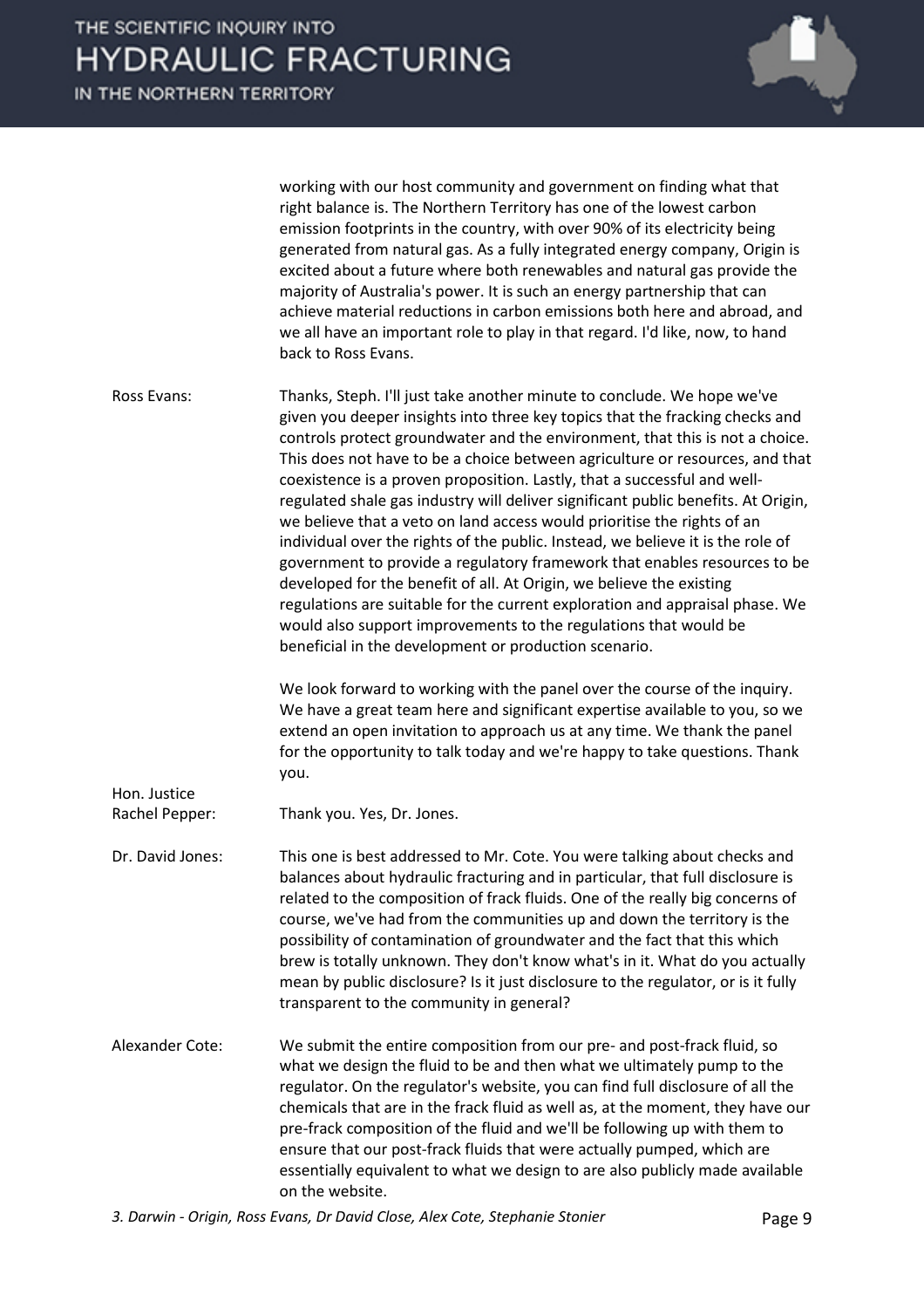working with our host community and government on finding what that right balance is. The Northern Territory has one of the lowest carbon emission footprints in the country, with over 90% of its electricity being generated from natural gas. As a fully integrated energy company, Origin is excited about a future where both renewables and natural gas provide the majority of Australia's power. It is such an energy partnership that can achieve material reductions in carbon emissions both here and abroad, and we all have an important role to play in that regard. I'd like, now, to hand back to Ross Evans.

Ross Evans: Thanks, Steph. I'll just take another minute to conclude. We hope we've given you deeper insights into three key topics that the fracking checks and controls protect groundwater and the environment, that this is not a choice. This does not have to be a choice between agriculture or resources, and that coexistence is a proven proposition. Lastly, that a successful and wellregulated shale gas industry will deliver significant public benefits. At Origin, we believe that a veto on land access would prioritise the rights of an individual over the rights of the public. Instead, we believe it is the role of government to provide a regulatory framework that enables resources to be developed for the benefit of all. At Origin, we believe the existing regulations are suitable for the current exploration and appraisal phase. We would also support improvements to the regulations that would be beneficial in the development or production scenario.

> We look forward to working with the panel over the course of the inquiry. We have a great team here and significant expertise available to you, so we extend an open invitation to approach us at any time. We thank the panel for the opportunity to talk today and we're happy to take questions. Thank you.

Rachel Pepper: Thank you. Yes, Dr. Jones.

Hon. Justice

Dr. David Jones: This one is best addressed to Mr. Cote. You were talking about checks and balances about hydraulic fracturing and in particular, that full disclosure is related to the composition of frack fluids. One of the really big concerns of course, we've had from the communities up and down the territory is the possibility of contamination of groundwater and the fact that this which brew is totally unknown. They don't know what's in it. What do you actually mean by public disclosure? Is it just disclosure to the regulator, or is it fully transparent to the community in general?

Alexander Cote: We submit the entire composition from our pre- and post-frack fluid, so what we design the fluid to be and then what we ultimately pump to the regulator. On the regulator's website, you can find full disclosure of all the chemicals that are in the frack fluid as well as, at the moment, they have our pre-frack composition of the fluid and we'll be following up with them to ensure that our post-frack fluids that were actually pumped, which are essentially equivalent to what we design to are also publicly made available on the website.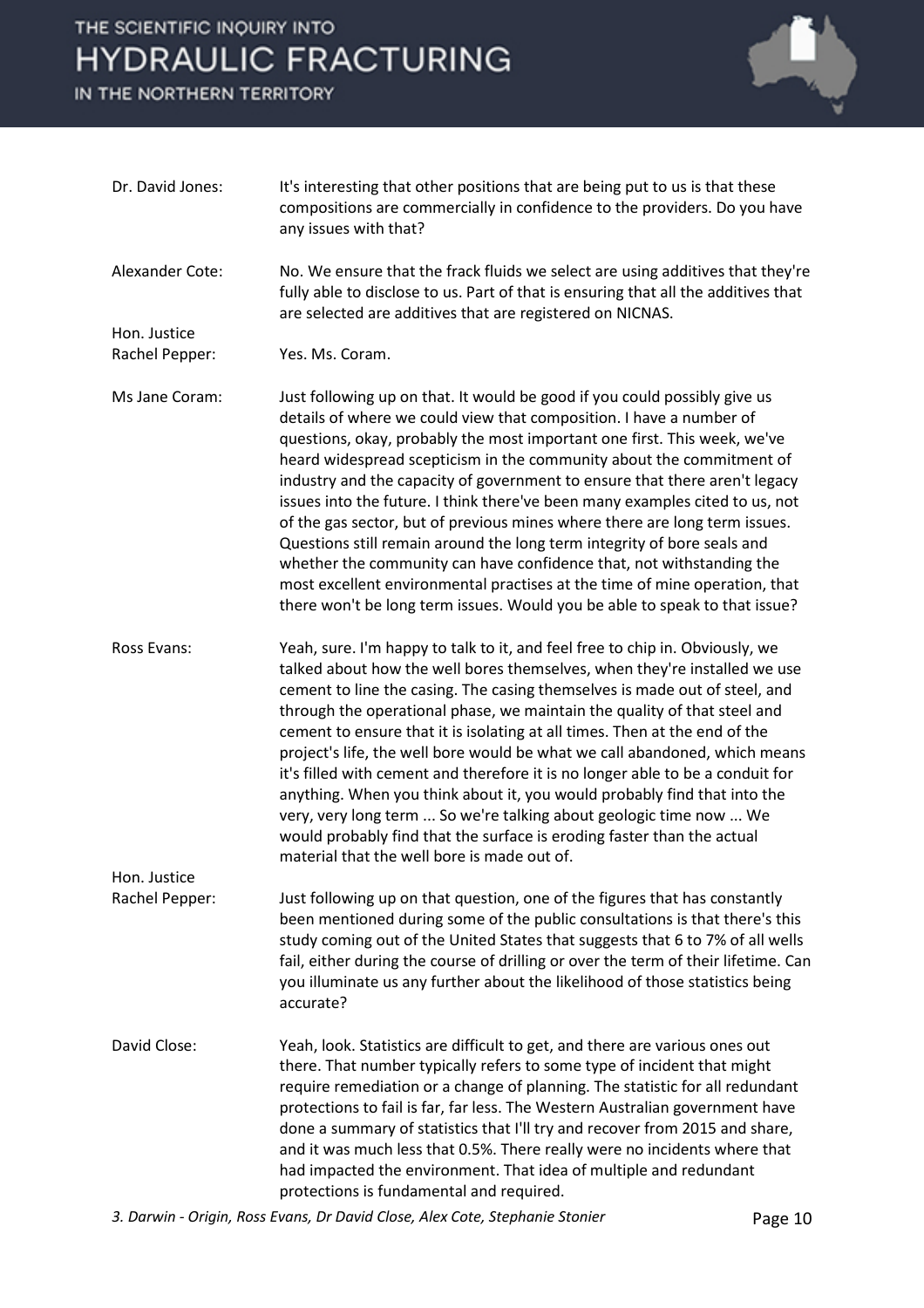IN THE NORTHERN TERRITORY



| Dr. David Jones: | It's interesting that other positions that are being put to us is that these<br>compositions are commercially in confidence to the providers. Do you have<br>any issues with that?                                                                                                                                                                                                                                                                                                                                                                                                                                                                                                                                                                                                                                                                              |
|------------------|-----------------------------------------------------------------------------------------------------------------------------------------------------------------------------------------------------------------------------------------------------------------------------------------------------------------------------------------------------------------------------------------------------------------------------------------------------------------------------------------------------------------------------------------------------------------------------------------------------------------------------------------------------------------------------------------------------------------------------------------------------------------------------------------------------------------------------------------------------------------|
| Alexander Cote:  | No. We ensure that the frack fluids we select are using additives that they're<br>fully able to disclose to us. Part of that is ensuring that all the additives that<br>are selected are additives that are registered on NICNAS.                                                                                                                                                                                                                                                                                                                                                                                                                                                                                                                                                                                                                               |
| Hon. Justice     |                                                                                                                                                                                                                                                                                                                                                                                                                                                                                                                                                                                                                                                                                                                                                                                                                                                                 |
| Rachel Pepper:   | Yes. Ms. Coram.                                                                                                                                                                                                                                                                                                                                                                                                                                                                                                                                                                                                                                                                                                                                                                                                                                                 |
| Ms Jane Coram:   | Just following up on that. It would be good if you could possibly give us<br>details of where we could view that composition. I have a number of<br>questions, okay, probably the most important one first. This week, we've<br>heard widespread scepticism in the community about the commitment of<br>industry and the capacity of government to ensure that there aren't legacy<br>issues into the future. I think there've been many examples cited to us, not<br>of the gas sector, but of previous mines where there are long term issues.<br>Questions still remain around the long term integrity of bore seals and<br>whether the community can have confidence that, not withstanding the<br>most excellent environmental practises at the time of mine operation, that<br>there won't be long term issues. Would you be able to speak to that issue? |
| Ross Evans:      | Yeah, sure. I'm happy to talk to it, and feel free to chip in. Obviously, we<br>talked about how the well bores themselves, when they're installed we use<br>cement to line the casing. The casing themselves is made out of steel, and<br>through the operational phase, we maintain the quality of that steel and<br>cement to ensure that it is isolating at all times. Then at the end of the<br>project's life, the well bore would be what we call abandoned, which means<br>it's filled with cement and therefore it is no longer able to be a conduit for<br>anything. When you think about it, you would probably find that into the<br>very, very long term  So we're talking about geologic time now  We<br>would probably find that the surface is eroding faster than the actual<br>material that the well bore is made out of.                    |
| Hon. Justice     |                                                                                                                                                                                                                                                                                                                                                                                                                                                                                                                                                                                                                                                                                                                                                                                                                                                                 |
| Rachel Pepper:   | Just following up on that question, one of the figures that has constantly<br>been mentioned during some of the public consultations is that there's this<br>study coming out of the United States that suggests that 6 to 7% of all wells<br>fail, either during the course of drilling or over the term of their lifetime. Can<br>you illuminate us any further about the likelihood of those statistics being<br>accurate?                                                                                                                                                                                                                                                                                                                                                                                                                                   |
| David Close:     | Yeah, look. Statistics are difficult to get, and there are various ones out<br>there. That number typically refers to some type of incident that might<br>require remediation or a change of planning. The statistic for all redundant<br>protections to fail is far, far less. The Western Australian government have<br>done a summary of statistics that I'll try and recover from 2015 and share,<br>and it was much less that 0.5%. There really were no incidents where that<br>had impacted the environment. That idea of multiple and redundant<br>protections is fundamental and required.                                                                                                                                                                                                                                                             |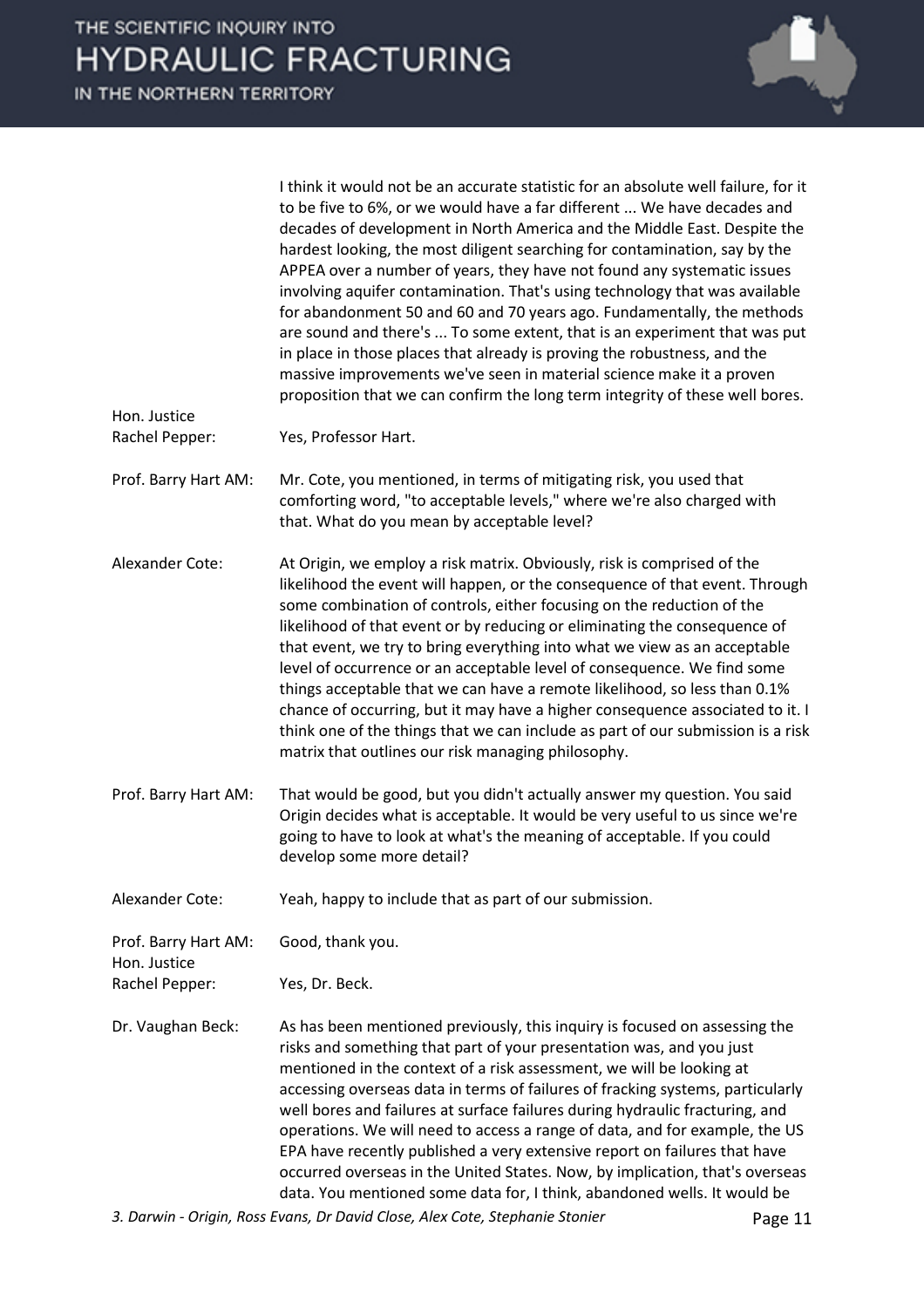I think it would not be an accurate statistic for an absolute well failure, for it to be five to 6%, or we would have a far different ... We have decades and decades of development in North America and the Middle East. Despite the hardest looking, the most diligent searching for contamination, say by the APPEA over a number of years, they have not found any systematic issues involving aquifer contamination. That's using technology that was available for abandonment 50 and 60 and 70 years ago. Fundamentally, the methods are sound and there's ... To some extent, that is an experiment that was put in place in those places that already is proving the robustness, and the massive improvements we've seen in material science make it a proven proposition that we can confirm the long term integrity of these well bores. Hon. Justice Rachel Pepper: Yes, Professor Hart. Prof. Barry Hart AM: Mr. Cote, you mentioned, in terms of mitigating risk, you used that comforting word, "to acceptable levels," where we're also charged with that. What do you mean by acceptable level? Alexander Cote: At Origin, we employ a risk matrix. Obviously, risk is comprised of the likelihood the event will happen, or the consequence of that event. Through some combination of controls, either focusing on the reduction of the likelihood of that event or by reducing or eliminating the consequence of that event, we try to bring everything into what we view as an acceptable level of occurrence or an acceptable level of consequence. We find some things acceptable that we can have a remote likelihood, so less than 0.1% chance of occurring, but it may have a higher consequence associated to it. I think one of the things that we can include as part of our submission is a risk matrix that outlines our risk managing philosophy. Prof. Barry Hart AM: That would be good, but you didn't actually answer my question. You said Origin decides what is acceptable. It would be very useful to us since we're going to have to look at what's the meaning of acceptable. If you could develop some more detail? Alexander Cote: Yeah, happy to include that as part of our submission. Prof. Barry Hart AM: Good, thank you. Hon. Justice Rachel Pepper: Yes, Dr. Beck. Dr. Vaughan Beck: As has been mentioned previously, this inquiry is focused on assessing the risks and something that part of your presentation was, and you just mentioned in the context of a risk assessment, we will be looking at accessing overseas data in terms of failures of fracking systems, particularly well bores and failures at surface failures during hydraulic fracturing, and operations. We will need to access a range of data, and for example, the US EPA have recently published a very extensive report on failures that have occurred overseas in the United States. Now, by implication, that's overseas data. You mentioned some data for, I think, abandoned wells. It would be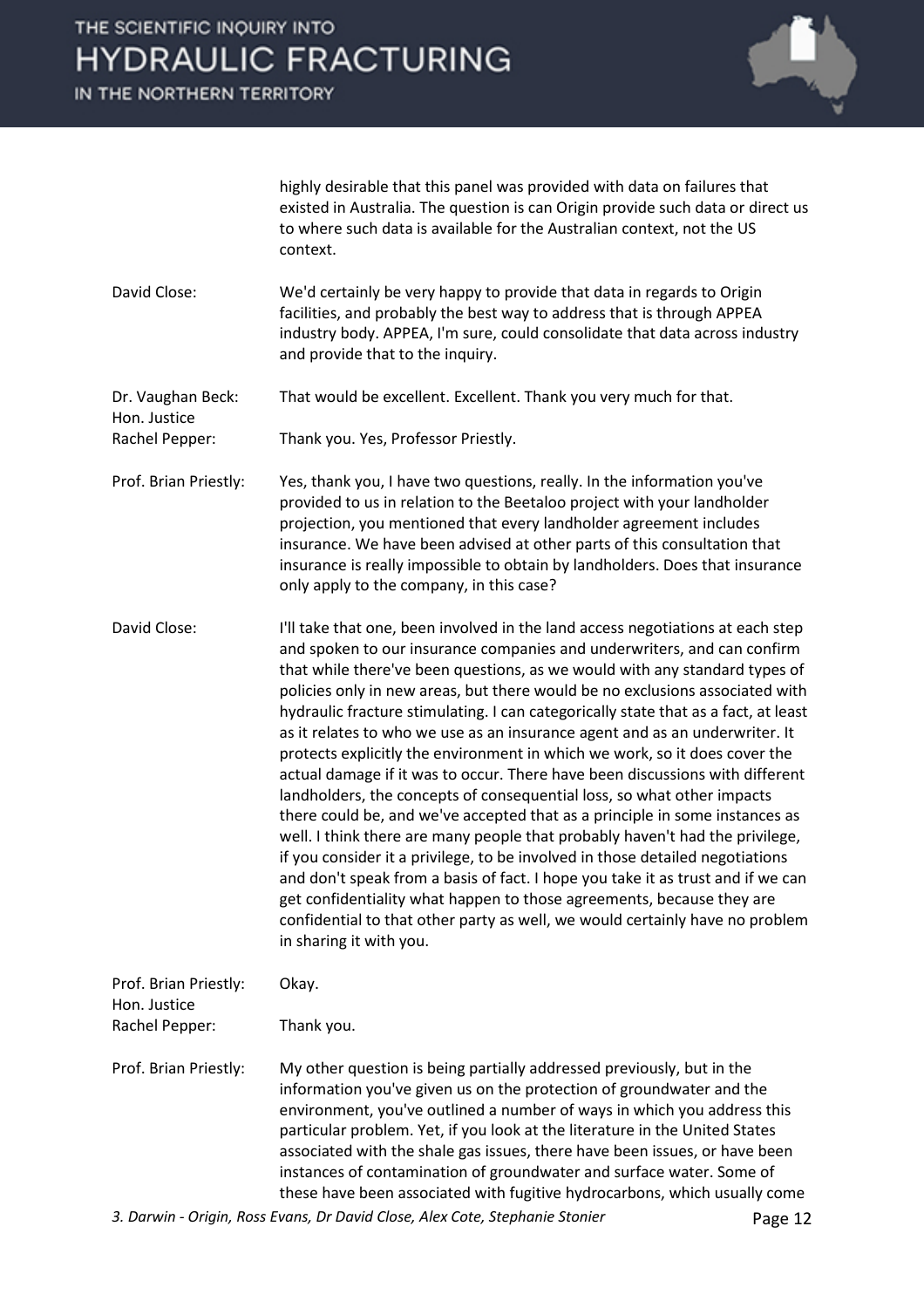IN THE NORTHERN TERRITORY



highly desirable that this panel was provided with data on failures that existed in Australia. The question is can Origin provide such data or direct us to where such data is available for the Australian context, not the US context.

David Close: We'd certainly be very happy to provide that data in regards to Origin facilities, and probably the best way to address that is through APPEA industry body. APPEA, I'm sure, could consolidate that data across industry and provide that to the inquiry.

Dr. Vaughan Beck: That would be excellent. Excellent. Thank you very much for that. Hon. Justice

Rachel Pepper: Thank you. Yes, Professor Priestly.

- Prof. Brian Priestly: Yes, thank you, I have two questions, really. In the information you've provided to us in relation to the Beetaloo project with your landholder projection, you mentioned that every landholder agreement includes insurance. We have been advised at other parts of this consultation that insurance is really impossible to obtain by landholders. Does that insurance only apply to the company, in this case?
- David Close: I'll take that one, been involved in the land access negotiations at each step and spoken to our insurance companies and underwriters, and can confirm that while there've been questions, as we would with any standard types of policies only in new areas, but there would be no exclusions associated with hydraulic fracture stimulating. I can categorically state that as a fact, at least as it relates to who we use as an insurance agent and as an underwriter. It protects explicitly the environment in which we work, so it does cover the actual damage if it was to occur. There have been discussions with different landholders, the concepts of consequential loss, so what other impacts there could be, and we've accepted that as a principle in some instances as well. I think there are many people that probably haven't had the privilege, if you consider it a privilege, to be involved in those detailed negotiations and don't speak from a basis of fact. I hope you take it as trust and if we can get confidentiality what happen to those agreements, because they are confidential to that other party as well, we would certainly have no problem in sharing it with you.

| Prof. Brian Priestly:<br>Hon. Justice | Okay.                                                                                                                                                                                                                                                                                                                                                                                                                                                                                                                                      |
|---------------------------------------|--------------------------------------------------------------------------------------------------------------------------------------------------------------------------------------------------------------------------------------------------------------------------------------------------------------------------------------------------------------------------------------------------------------------------------------------------------------------------------------------------------------------------------------------|
| Rachel Pepper:                        | Thank you.                                                                                                                                                                                                                                                                                                                                                                                                                                                                                                                                 |
| Prof. Brian Priestly:                 | My other question is being partially addressed previously, but in the<br>information you've given us on the protection of groundwater and the<br>environment, you've outlined a number of ways in which you address this<br>particular problem. Yet, if you look at the literature in the United States<br>associated with the shale gas issues, there have been issues, or have been<br>instances of contamination of groundwater and surface water. Some of<br>these have been associated with fugitive hydrocarbons, which usually come |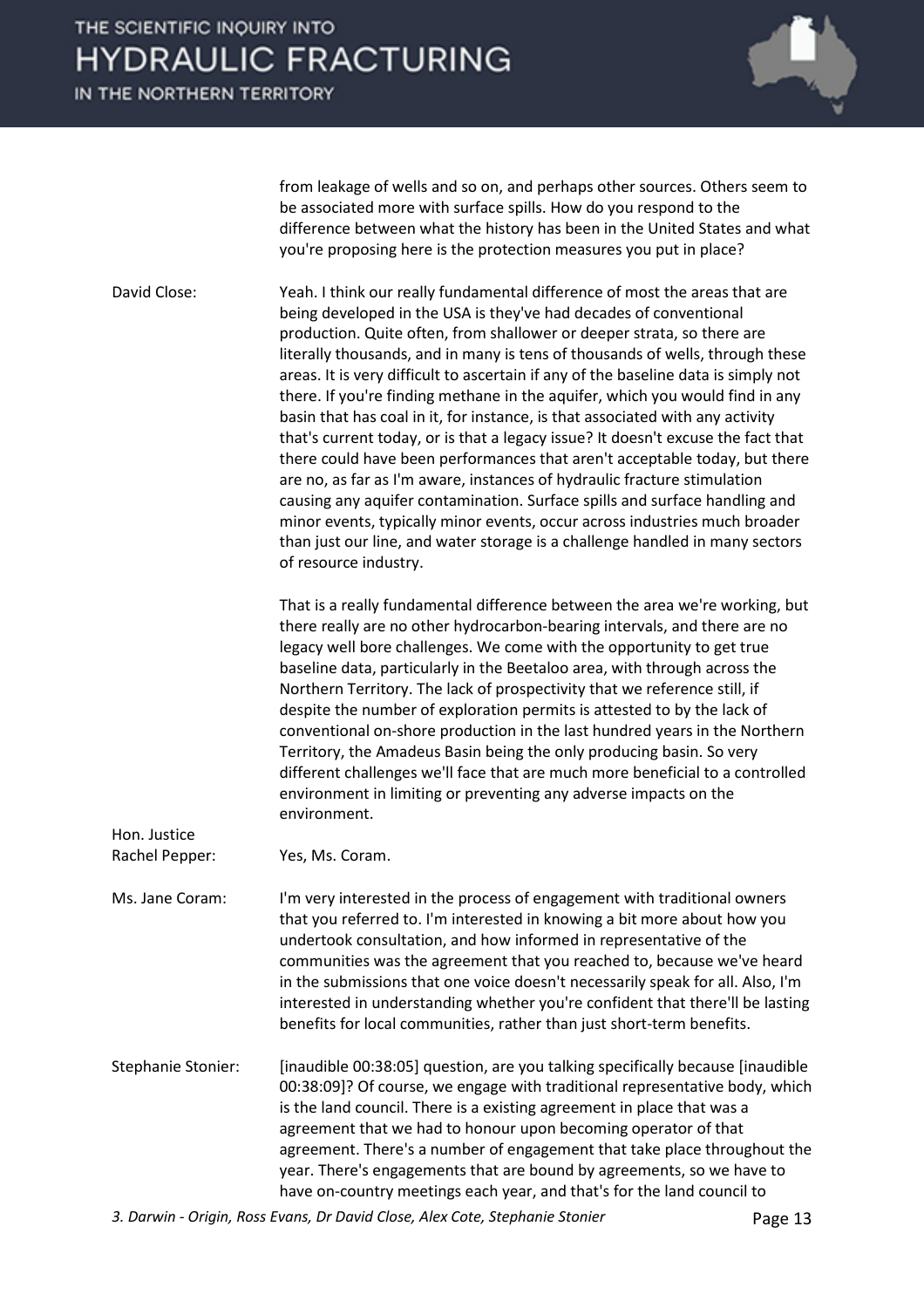IN THE NORTHERN TERRITORY



from leakage of wells and so on, and perhaps other sources. Others seem to be associated more with surface spills. How do you respond to the difference between what the history has been in the United States and what you're proposing here is the protection measures you put in place?

David Close: Yeah. I think our really fundamental difference of most the areas that are being developed in the USA is they've had decades of conventional production. Quite often, from shallower or deeper strata, so there are literally thousands, and in many is tens of thousands of wells, through these areas. It is very difficult to ascertain if any of the baseline data is simply not there. If you're finding methane in the aquifer, which you would find in any basin that has coal in it, for instance, is that associated with any activity that's current today, or is that a legacy issue? It doesn't excuse the fact that there could have been performances that aren't acceptable today, but there are no, as far as I'm aware, instances of hydraulic fracture stimulation causing any aquifer contamination. Surface spills and surface handling and minor events, typically minor events, occur across industries much broader than just our line, and water storage is a challenge handled in many sectors of resource industry.

> That is a really fundamental difference between the area we're working, but there really are no other hydrocarbon-bearing intervals, and there are no legacy well bore challenges. We come with the opportunity to get true baseline data, particularly in the Beetaloo area, with through across the Northern Territory. The lack of prospectivity that we reference still, if despite the number of exploration permits is attested to by the lack of conventional on-shore production in the last hundred years in the Northern Territory, the Amadeus Basin being the only producing basin. So very different challenges we'll face that are much more beneficial to a controlled environment in limiting or preventing any adverse impacts on the environment.

Rachel Pepper: Yes, Ms. Coram.

Hon. Justice

Ms. Jane Coram: I'm very interested in the process of engagement with traditional owners that you referred to. I'm interested in knowing a bit more about how you undertook consultation, and how informed in representative of the communities was the agreement that you reached to, because we've heard in the submissions that one voice doesn't necessarily speak for all. Also, I'm interested in understanding whether you're confident that there'll be lasting benefits for local communities, rather than just short-term benefits.

Stephanie Stonier: [inaudible 00:38:05] question, are you talking specifically because [inaudible 00:38:09]? Of course, we engage with traditional representative body, which is the land council. There is a existing agreement in place that was a agreement that we had to honour upon becoming operator of that agreement. There's a number of engagement that take place throughout the year. There's engagements that are bound by agreements, so we have to have on-country meetings each year, and that's for the land council to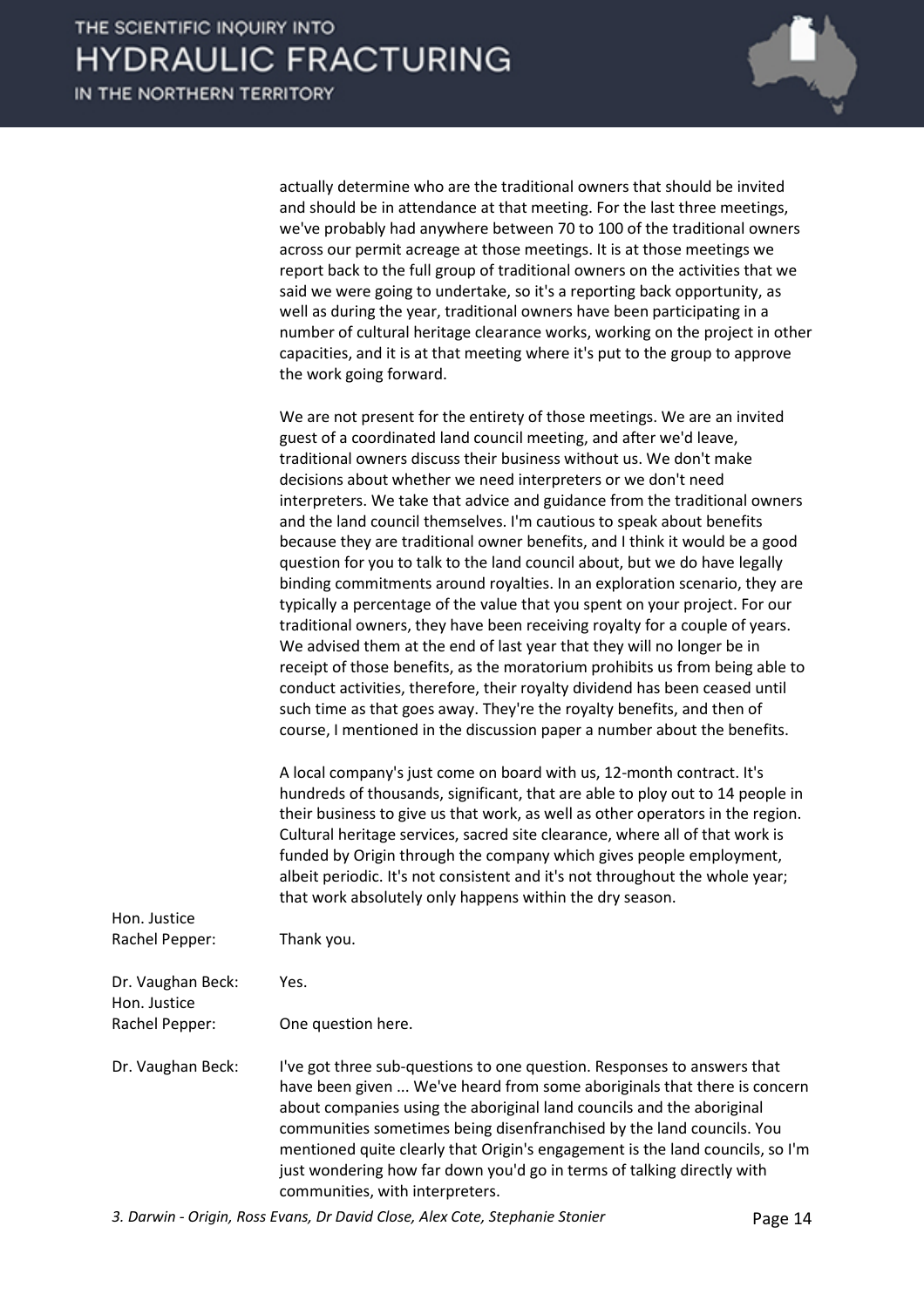

| actually determine who are the traditional owners that should be invited<br>and should be in attendance at that meeting. For the last three meetings, |
|-------------------------------------------------------------------------------------------------------------------------------------------------------|
| we've probably had anywhere between 70 to 100 of the traditional owners                                                                               |
| across our permit acreage at those meetings. It is at those meetings we                                                                               |
| report back to the full group of traditional owners on the activities that we                                                                         |
| said we were going to undertake, so it's a reporting back opportunity, as                                                                             |
| well as during the year, traditional owners have been participating in a                                                                              |
| number of cultural heritage clearance works, working on the project in other                                                                          |
| capacities, and it is at that meeting where it's put to the group to approve                                                                          |
| the work going forward.                                                                                                                               |

We are not present for the entirety of those meetings. We are an invited guest of a coordinated land council meeting, and after we'd leave, traditional owners discuss their business without us. We don't make decisions about whether we need interpreters or we don't need interpreters. We take that advice and guidance from the traditional owners and the land council themselves. I'm cautious to speak about benefits because they are traditional owner benefits, and I think it would be a good question for you to talk to the land council about, but we do have legally binding commitments around royalties. In an exploration scenario, they are typically a percentage of the value that you spent on your project. For our traditional owners, they have been receiving royalty for a couple of years. We advised them at the end of last year that they will no longer be in receipt of those benefits, as the moratorium prohibits us from being able to conduct activities, therefore, their royalty dividend has been ceased until such time as that goes away. They're the royalty benefits, and then of course, I mentioned in the discussion paper a number about the benefits.

A local company's just come on board with us, 12-month contract. It's hundreds of thousands, significant, that are able to ploy out to 14 people in their business to give us that work, as well as other operators in the region. Cultural heritage services, sacred site clearance, where all of that work is funded by Origin through the company which gives people employment, albeit periodic. It's not consistent and it's not throughout the whole year; that work absolutely only happens within the dry season.

| Hon. Justice<br>Rachel Pepper:    | Thank you.                                                                                                                                                                                                                                                                                                                                                                                                                                                                                          |
|-----------------------------------|-----------------------------------------------------------------------------------------------------------------------------------------------------------------------------------------------------------------------------------------------------------------------------------------------------------------------------------------------------------------------------------------------------------------------------------------------------------------------------------------------------|
| Dr. Vaughan Beck:<br>Hon. Justice | Yes.                                                                                                                                                                                                                                                                                                                                                                                                                                                                                                |
| Rachel Pepper:                    | One question here.                                                                                                                                                                                                                                                                                                                                                                                                                                                                                  |
| Dr. Vaughan Beck:                 | I've got three sub-questions to one question. Responses to answers that<br>have been given  We've heard from some aboriginals that there is concern<br>about companies using the aboriginal land councils and the aboriginal<br>communities sometimes being disenfranchised by the land councils. You<br>mentioned quite clearly that Origin's engagement is the land councils, so I'm<br>just wondering how far down you'd go in terms of talking directly with<br>communities, with interpreters. |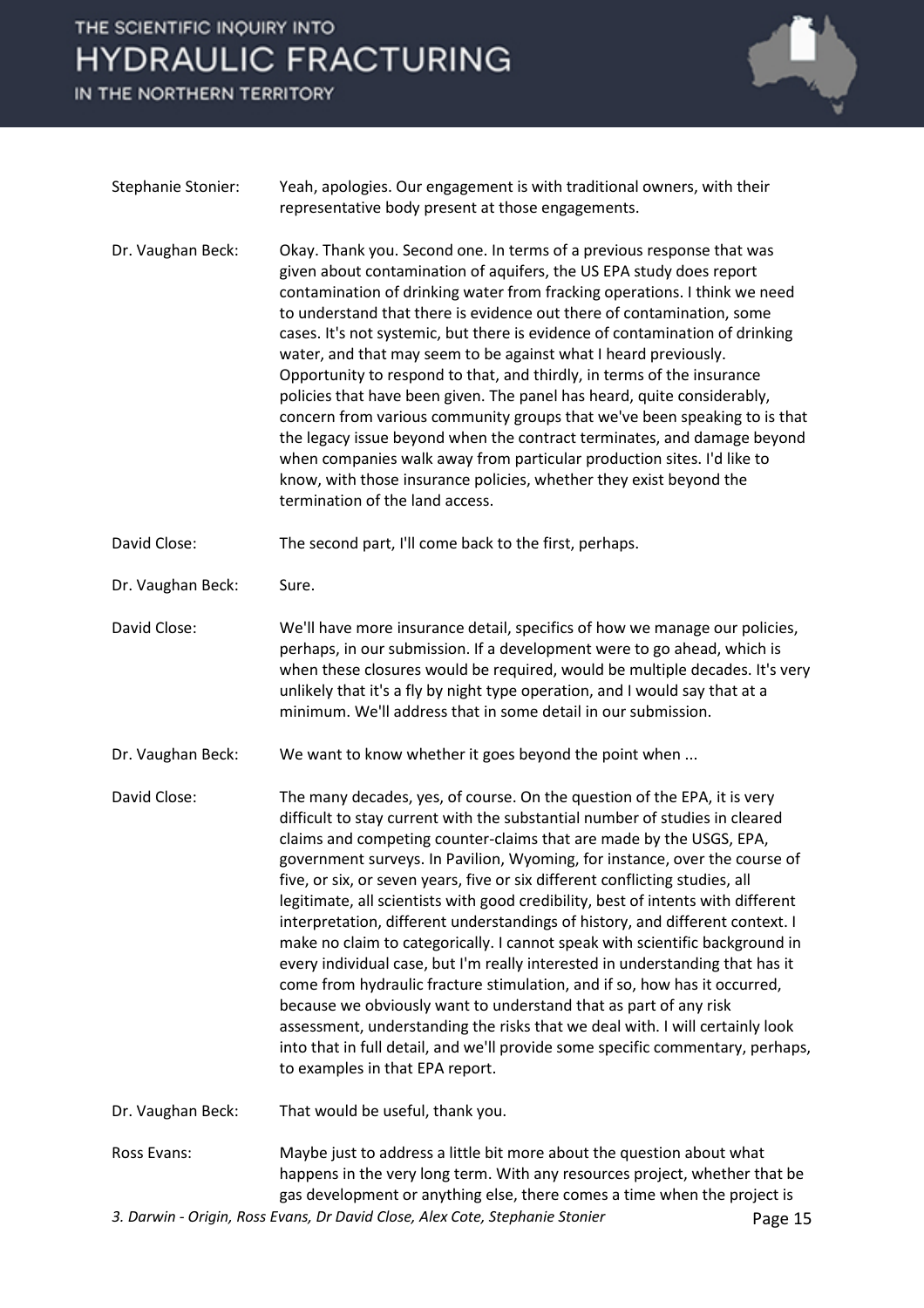IN THE NORTHERN TERRITORY



| <b>Stephanie Stonier:</b> | Yeah, apologies. Our engagement is with traditional owners, with their<br>representative body present at those engagements.                                                                                                                                                                                                                                                                                                                                                                                                                                                                                                                                                                                                                                                                                                                                                                                                                                                                                                                                                              |
|---------------------------|------------------------------------------------------------------------------------------------------------------------------------------------------------------------------------------------------------------------------------------------------------------------------------------------------------------------------------------------------------------------------------------------------------------------------------------------------------------------------------------------------------------------------------------------------------------------------------------------------------------------------------------------------------------------------------------------------------------------------------------------------------------------------------------------------------------------------------------------------------------------------------------------------------------------------------------------------------------------------------------------------------------------------------------------------------------------------------------|
| Dr. Vaughan Beck:         | Okay. Thank you. Second one. In terms of a previous response that was<br>given about contamination of aquifers, the US EPA study does report<br>contamination of drinking water from fracking operations. I think we need<br>to understand that there is evidence out there of contamination, some<br>cases. It's not systemic, but there is evidence of contamination of drinking<br>water, and that may seem to be against what I heard previously.<br>Opportunity to respond to that, and thirdly, in terms of the insurance<br>policies that have been given. The panel has heard, quite considerably,<br>concern from various community groups that we've been speaking to is that<br>the legacy issue beyond when the contract terminates, and damage beyond<br>when companies walk away from particular production sites. I'd like to<br>know, with those insurance policies, whether they exist beyond the<br>termination of the land access.                                                                                                                                    |
| David Close:              | The second part, I'll come back to the first, perhaps.                                                                                                                                                                                                                                                                                                                                                                                                                                                                                                                                                                                                                                                                                                                                                                                                                                                                                                                                                                                                                                   |
| Dr. Vaughan Beck:         | Sure.                                                                                                                                                                                                                                                                                                                                                                                                                                                                                                                                                                                                                                                                                                                                                                                                                                                                                                                                                                                                                                                                                    |
| David Close:              | We'll have more insurance detail, specifics of how we manage our policies,<br>perhaps, in our submission. If a development were to go ahead, which is<br>when these closures would be required, would be multiple decades. It's very<br>unlikely that it's a fly by night type operation, and I would say that at a<br>minimum. We'll address that in some detail in our submission.                                                                                                                                                                                                                                                                                                                                                                                                                                                                                                                                                                                                                                                                                                     |
| Dr. Vaughan Beck:         | We want to know whether it goes beyond the point when                                                                                                                                                                                                                                                                                                                                                                                                                                                                                                                                                                                                                                                                                                                                                                                                                                                                                                                                                                                                                                    |
| David Close:              | The many decades, yes, of course. On the question of the EPA, it is very<br>difficult to stay current with the substantial number of studies in cleared<br>claims and competing counter-claims that are made by the USGS, EPA,<br>government surveys. In Pavilion, Wyoming, for instance, over the course of<br>five, or six, or seven years, five or six different conflicting studies, all<br>legitimate, all scientists with good credibility, best of intents with different<br>interpretation, different understandings of history, and different context. I<br>make no claim to categorically. I cannot speak with scientific background in<br>every individual case, but I'm really interested in understanding that has it<br>come from hydraulic fracture stimulation, and if so, how has it occurred,<br>because we obviously want to understand that as part of any risk<br>assessment, understanding the risks that we deal with. I will certainly look<br>into that in full detail, and we'll provide some specific commentary, perhaps,<br>to examples in that EPA report. |
| Dr. Vaughan Beck:         | That would be useful, thank you.                                                                                                                                                                                                                                                                                                                                                                                                                                                                                                                                                                                                                                                                                                                                                                                                                                                                                                                                                                                                                                                         |
| Ross Evans:               | Maybe just to address a little bit more about the question about what<br>happens in the very long term. With any resources project, whether that be<br>gas development or anything else, there comes a time when the project is                                                                                                                                                                                                                                                                                                                                                                                                                                                                                                                                                                                                                                                                                                                                                                                                                                                          |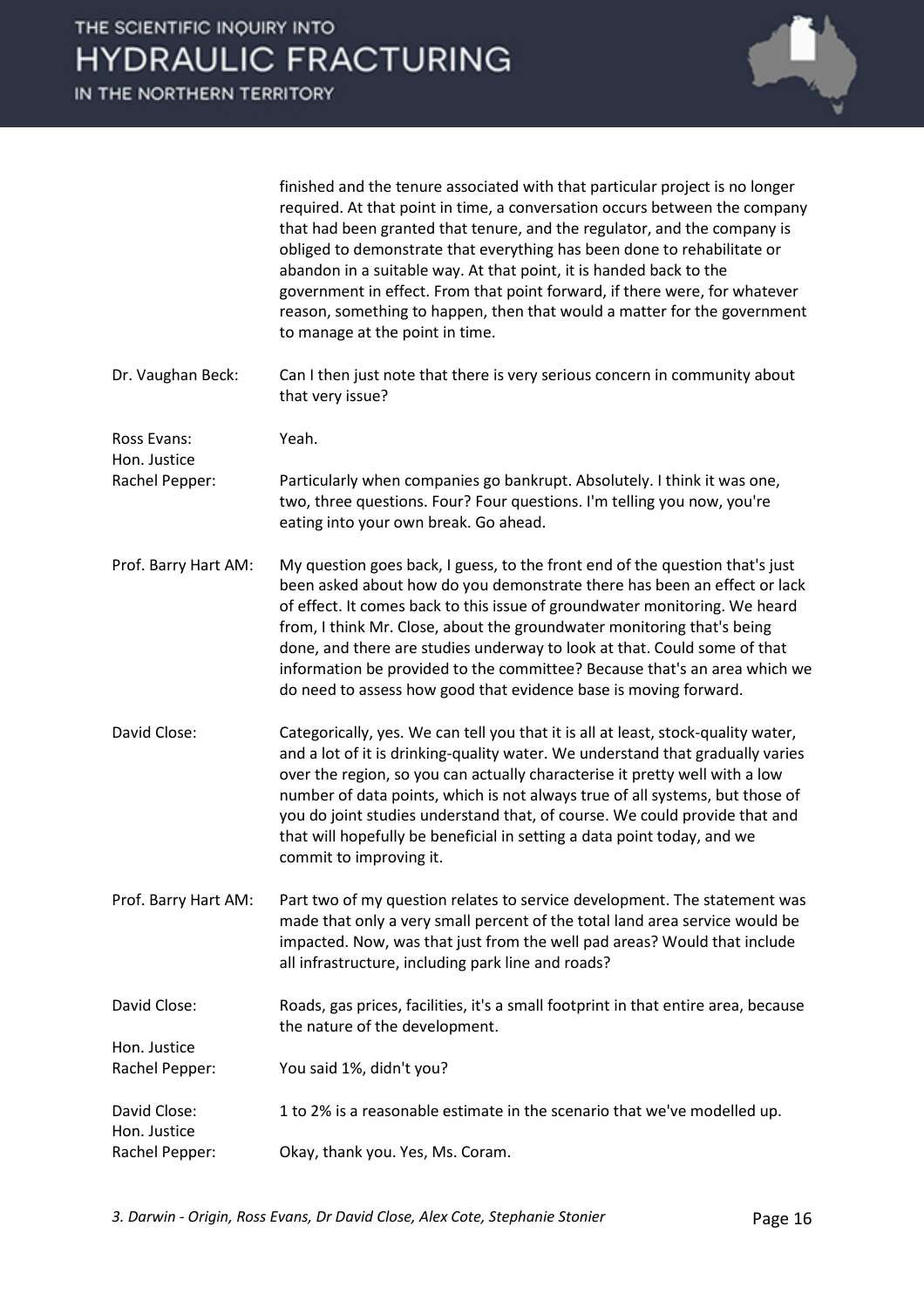

Dr. Vaughan Beck: Can I then just note that there is very serious concern in community about that very issue?

Ross Evans: Yeah.

Hon. Justice

Hon. Justice

- Rachel Pepper: Particularly when companies go bankrupt. Absolutely. I think it was one, two, three questions. Four? Four questions. I'm telling you now, you're eating into your own break. Go ahead.
- Prof. Barry Hart AM: My question goes back, I guess, to the front end of the question that's just been asked about how do you demonstrate there has been an effect or lack of effect. It comes back to this issue of groundwater monitoring. We heard from, I think Mr. Close, about the groundwater monitoring that's being done, and there are studies underway to look at that. Could some of that information be provided to the committee? Because that's an area which we do need to assess how good that evidence base is moving forward.
- David Close: Categorically, yes. We can tell you that it is all at least, stock-quality water, and a lot of it is drinking-quality water. We understand that gradually varies over the region, so you can actually characterise it pretty well with a low number of data points, which is not always true of all systems, but those of you do joint studies understand that, of course. We could provide that and that will hopefully be beneficial in setting a data point today, and we commit to improving it.
- Prof. Barry Hart AM: Part two of my question relates to service development. The statement was made that only a very small percent of the total land area service would be impacted. Now, was that just from the well pad areas? Would that include all infrastructure, including park line and roads?
- David Close: Roads, gas prices, facilities, it's a small footprint in that entire area, because the nature of the development. Hon. Justice
- Rachel Pepper: You said 1%, didn't you?
- David Close: 1 to 2% is a reasonable estimate in the scenario that we've modelled up.
- Rachel Pepper: Okay, thank you. Yes, Ms. Coram.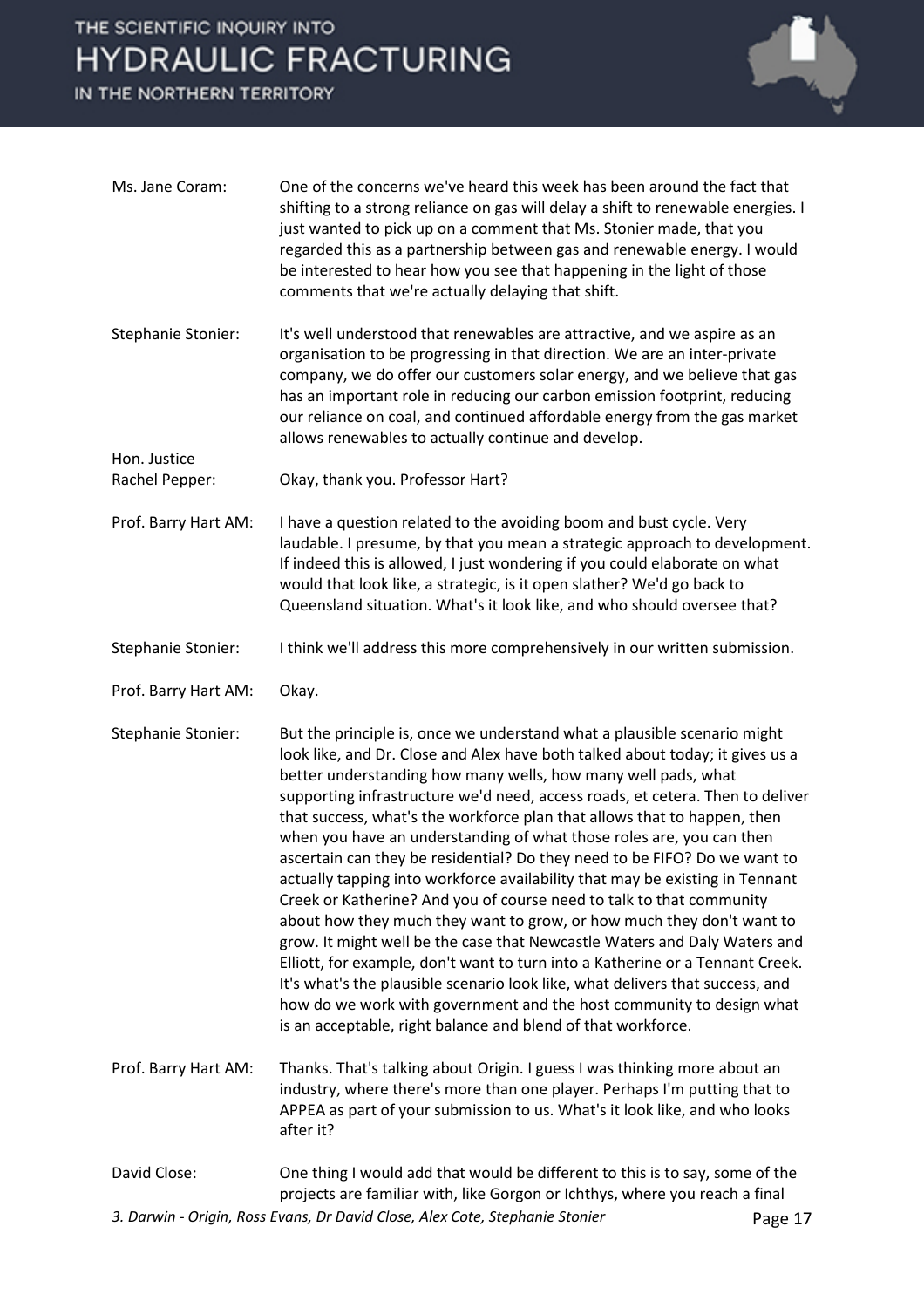IN THE NORTHERN TERRITORY



| Ms. Jane Coram:                | One of the concerns we've heard this week has been around the fact that<br>shifting to a strong reliance on gas will delay a shift to renewable energies. I<br>just wanted to pick up on a comment that Ms. Stonier made, that you<br>regarded this as a partnership between gas and renewable energy. I would<br>be interested to hear how you see that happening in the light of those<br>comments that we're actually delaying that shift.                                                                                                                                                                                                                                                                                                                                                                                                                                                                                                                                                                                                                                                                                                                        |         |
|--------------------------------|----------------------------------------------------------------------------------------------------------------------------------------------------------------------------------------------------------------------------------------------------------------------------------------------------------------------------------------------------------------------------------------------------------------------------------------------------------------------------------------------------------------------------------------------------------------------------------------------------------------------------------------------------------------------------------------------------------------------------------------------------------------------------------------------------------------------------------------------------------------------------------------------------------------------------------------------------------------------------------------------------------------------------------------------------------------------------------------------------------------------------------------------------------------------|---------|
| Stephanie Stonier:             | It's well understood that renewables are attractive, and we aspire as an<br>organisation to be progressing in that direction. We are an inter-private<br>company, we do offer our customers solar energy, and we believe that gas<br>has an important role in reducing our carbon emission footprint, reducing<br>our reliance on coal, and continued affordable energy from the gas market<br>allows renewables to actually continue and develop.                                                                                                                                                                                                                                                                                                                                                                                                                                                                                                                                                                                                                                                                                                                   |         |
| Hon. Justice<br>Rachel Pepper: | Okay, thank you. Professor Hart?                                                                                                                                                                                                                                                                                                                                                                                                                                                                                                                                                                                                                                                                                                                                                                                                                                                                                                                                                                                                                                                                                                                                     |         |
| Prof. Barry Hart AM:           | I have a question related to the avoiding boom and bust cycle. Very<br>laudable. I presume, by that you mean a strategic approach to development.<br>If indeed this is allowed, I just wondering if you could elaborate on what<br>would that look like, a strategic, is it open slather? We'd go back to<br>Queensland situation. What's it look like, and who should oversee that?                                                                                                                                                                                                                                                                                                                                                                                                                                                                                                                                                                                                                                                                                                                                                                                 |         |
| <b>Stephanie Stonier:</b>      | I think we'll address this more comprehensively in our written submission.                                                                                                                                                                                                                                                                                                                                                                                                                                                                                                                                                                                                                                                                                                                                                                                                                                                                                                                                                                                                                                                                                           |         |
| Prof. Barry Hart AM:           | Okay.                                                                                                                                                                                                                                                                                                                                                                                                                                                                                                                                                                                                                                                                                                                                                                                                                                                                                                                                                                                                                                                                                                                                                                |         |
| <b>Stephanie Stonier:</b>      | But the principle is, once we understand what a plausible scenario might<br>look like, and Dr. Close and Alex have both talked about today; it gives us a<br>better understanding how many wells, how many well pads, what<br>supporting infrastructure we'd need, access roads, et cetera. Then to deliver<br>that success, what's the workforce plan that allows that to happen, then<br>when you have an understanding of what those roles are, you can then<br>ascertain can they be residential? Do they need to be FIFO? Do we want to<br>actually tapping into workforce availability that may be existing in Tennant<br>Creek or Katherine? And you of course need to talk to that community<br>about how they much they want to grow, or how much they don't want to<br>grow. It might well be the case that Newcastle Waters and Daly Waters and<br>Elliott, for example, don't want to turn into a Katherine or a Tennant Creek.<br>It's what's the plausible scenario look like, what delivers that success, and<br>how do we work with government and the host community to design what<br>is an acceptable, right balance and blend of that workforce. |         |
| Prof. Barry Hart AM:           | Thanks. That's talking about Origin. I guess I was thinking more about an<br>industry, where there's more than one player. Perhaps I'm putting that to<br>APPEA as part of your submission to us. What's it look like, and who looks<br>after it?                                                                                                                                                                                                                                                                                                                                                                                                                                                                                                                                                                                                                                                                                                                                                                                                                                                                                                                    |         |
| David Close:                   | One thing I would add that would be different to this is to say, some of the<br>projects are familiar with, like Gorgon or Ichthys, where you reach a final                                                                                                                                                                                                                                                                                                                                                                                                                                                                                                                                                                                                                                                                                                                                                                                                                                                                                                                                                                                                          |         |
|                                | 3. Darwin - Origin, Ross Evans, Dr David Close, Alex Cote, Stephanie Stonier                                                                                                                                                                                                                                                                                                                                                                                                                                                                                                                                                                                                                                                                                                                                                                                                                                                                                                                                                                                                                                                                                         | Page 17 |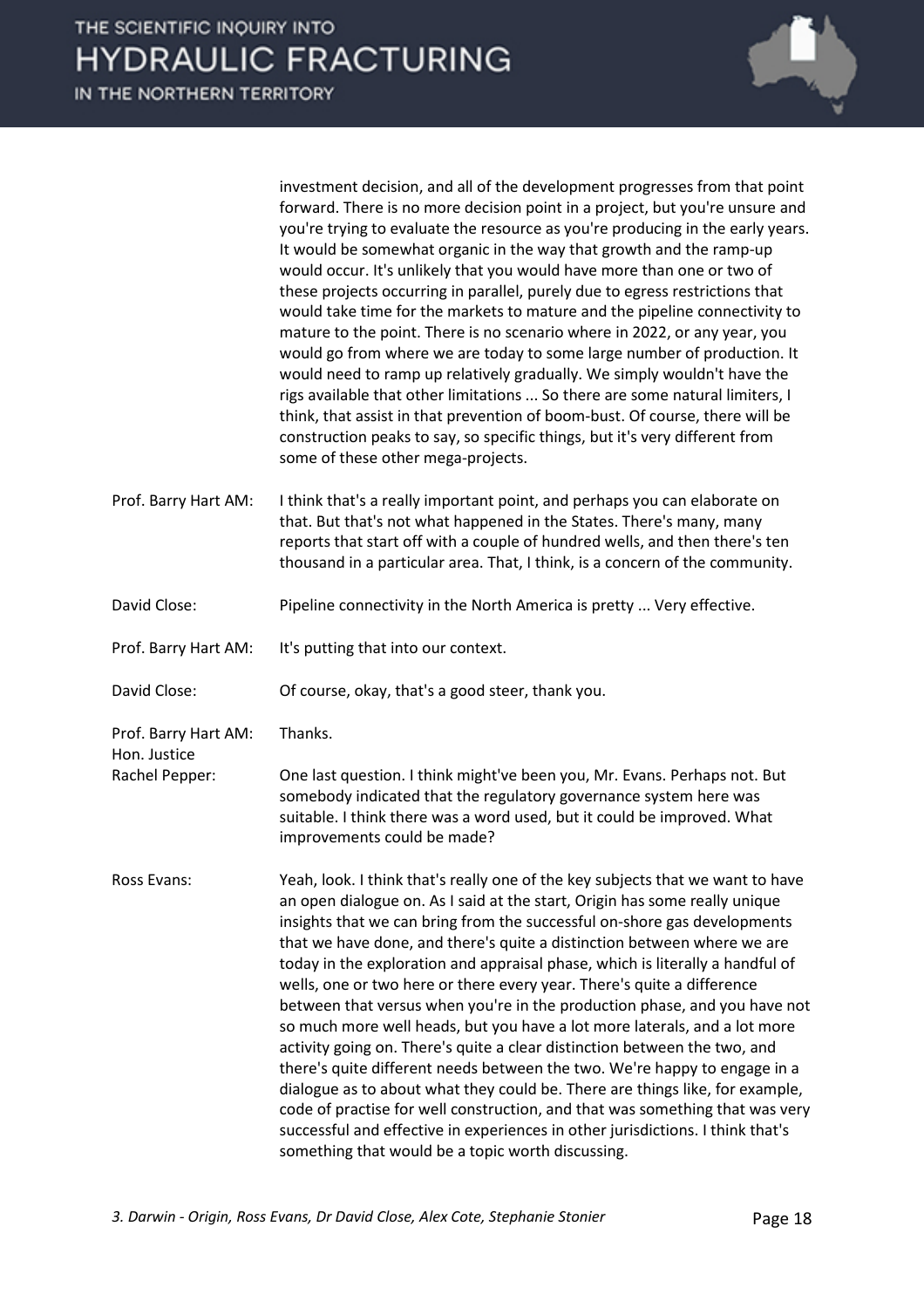|                                                        | investment decision, and all of the development progresses from that point<br>forward. There is no more decision point in a project, but you're unsure and<br>you're trying to evaluate the resource as you're producing in the early years.<br>It would be somewhat organic in the way that growth and the ramp-up<br>would occur. It's unlikely that you would have more than one or two of<br>these projects occurring in parallel, purely due to egress restrictions that<br>would take time for the markets to mature and the pipeline connectivity to<br>mature to the point. There is no scenario where in 2022, or any year, you<br>would go from where we are today to some large number of production. It<br>would need to ramp up relatively gradually. We simply wouldn't have the<br>rigs available that other limitations  So there are some natural limiters, I<br>think, that assist in that prevention of boom-bust. Of course, there will be<br>construction peaks to say, so specific things, but it's very different from<br>some of these other mega-projects.                       |
|--------------------------------------------------------|-----------------------------------------------------------------------------------------------------------------------------------------------------------------------------------------------------------------------------------------------------------------------------------------------------------------------------------------------------------------------------------------------------------------------------------------------------------------------------------------------------------------------------------------------------------------------------------------------------------------------------------------------------------------------------------------------------------------------------------------------------------------------------------------------------------------------------------------------------------------------------------------------------------------------------------------------------------------------------------------------------------------------------------------------------------------------------------------------------------|
| Prof. Barry Hart AM:                                   | I think that's a really important point, and perhaps you can elaborate on<br>that. But that's not what happened in the States. There's many, many<br>reports that start off with a couple of hundred wells, and then there's ten<br>thousand in a particular area. That, I think, is a concern of the community.                                                                                                                                                                                                                                                                                                                                                                                                                                                                                                                                                                                                                                                                                                                                                                                          |
| David Close:                                           | Pipeline connectivity in the North America is pretty  Very effective.                                                                                                                                                                                                                                                                                                                                                                                                                                                                                                                                                                                                                                                                                                                                                                                                                                                                                                                                                                                                                                     |
| Prof. Barry Hart AM:                                   | It's putting that into our context.                                                                                                                                                                                                                                                                                                                                                                                                                                                                                                                                                                                                                                                                                                                                                                                                                                                                                                                                                                                                                                                                       |
| David Close:                                           | Of course, okay, that's a good steer, thank you.                                                                                                                                                                                                                                                                                                                                                                                                                                                                                                                                                                                                                                                                                                                                                                                                                                                                                                                                                                                                                                                          |
| Prof. Barry Hart AM:<br>Hon. Justice<br>Rachel Pepper: | Thanks.<br>One last question. I think might've been you, Mr. Evans. Perhaps not. But<br>somebody indicated that the regulatory governance system here was<br>suitable. I think there was a word used, but it could be improved. What<br>improvements could be made?                                                                                                                                                                                                                                                                                                                                                                                                                                                                                                                                                                                                                                                                                                                                                                                                                                       |
| Ross Evans:                                            | Yeah, look. I think that's really one of the key subjects that we want to have<br>an open dialogue on. As I said at the start, Origin has some really unique<br>insights that we can bring from the successful on-shore gas developments<br>that we have done, and there's quite a distinction between where we are<br>today in the exploration and appraisal phase, which is literally a handful of<br>wells, one or two here or there every year. There's quite a difference<br>between that versus when you're in the production phase, and you have not<br>so much more well heads, but you have a lot more laterals, and a lot more<br>activity going on. There's quite a clear distinction between the two, and<br>there's quite different needs between the two. We're happy to engage in a<br>dialogue as to about what they could be. There are things like, for example,<br>code of practise for well construction, and that was something that was very<br>successful and effective in experiences in other jurisdictions. I think that's<br>something that would be a topic worth discussing. |